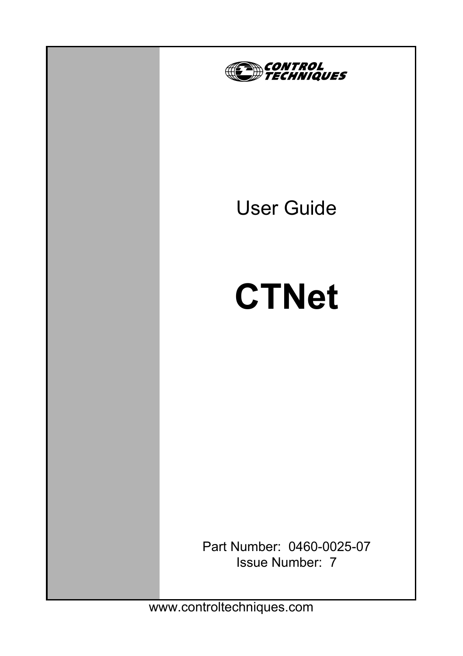

www.controltechniques.com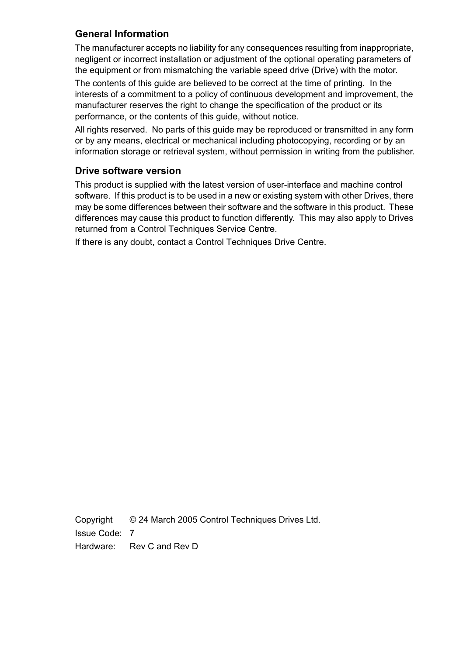#### **General Information**

The manufacturer accepts no liability for any consequences resulting from inappropriate, negligent or incorrect installation or adjustment of the optional operating parameters of the equipment or from mismatching the variable speed drive (Drive) with the motor.

The contents of this guide are believed to be correct at the time of printing. In the interests of a commitment to a policy of continuous development and improvement, the manufacturer reserves the right to change the specification of the product or its performance, or the contents of this guide, without notice.

All rights reserved. No parts of this guide may be reproduced or transmitted in any form or by any means, electrical or mechanical including photocopying, recording or by an information storage or retrieval system, without permission in writing from the publisher.

#### **Drive software version**

This product is supplied with the latest version of user-interface and machine control software. If this product is to be used in a new or existing system with other Drives, there may be some differences between their software and the software in this product. These differences may cause this product to function differently. This may also apply to Drives returned from a Control Techniques Service Centre.

If there is any doubt, contact a Control Techniques Drive Centre.

Copyright © 24 March 2005 Control Techniques Drives Ltd. Issue Code: 7 Hardware: Rev C and Rev D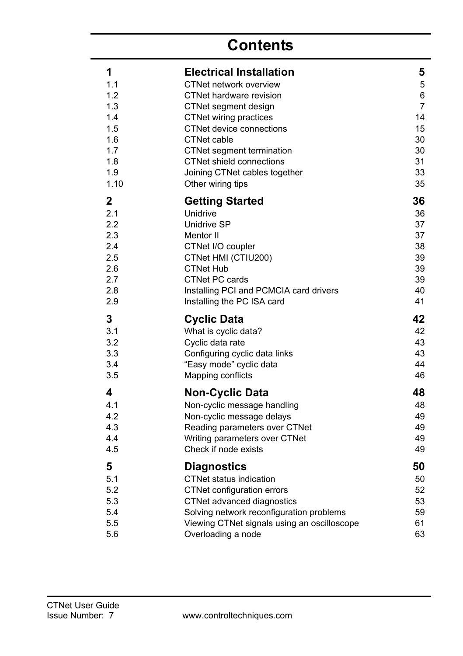# **Contents**

| 1           | <b>Electrical Installation</b>              | 5              |
|-------------|---------------------------------------------|----------------|
| 1.1         | CTNet network overview                      | 5              |
| 1.2         | CTNet hardware revision                     | 6              |
| 1.3         | CTNet segment design                        | $\overline{7}$ |
| 1.4         | CTNet wiring practices                      | 14             |
| 1.5         | CTNet device connections                    | 15             |
| 1.6         | <b>CTNet cable</b>                          | 30             |
| 1.7         | CTNet segment termination                   | 30             |
| 1.8         | <b>CTNet shield connections</b>             | 31             |
| 1.9         | Joining CTNet cables together               | 33             |
| 1.10        | Other wiring tips                           | 35             |
| $\mathbf 2$ | <b>Getting Started</b>                      | 36             |
| 2.1         | Unidrive                                    | 36             |
| 2.2         | Unidrive SP                                 | 37             |
| 2.3         | Mentor II                                   | 37             |
| 2.4         | CTNet I/O coupler                           | 38             |
| 2.5         | CTNet HMI (CTIU200)                         | 39             |
| 2.6         | <b>CTNet Hub</b>                            | 39             |
| 2.7         | <b>CTNet PC cards</b>                       | 39             |
| 2.8         | Installing PCI and PCMCIA card drivers      | 40             |
| 2.9         | Installing the PC ISA card                  | 41             |
| 3           | <b>Cyclic Data</b>                          | 42             |
| 3.1         | What is cyclic data?                        | 42             |
| 3.2         | Cyclic data rate                            | 43             |
| 3.3         | Configuring cyclic data links               | 43             |
| 3.4         | "Easy mode" cyclic data                     | 44             |
| 3.5         | Mapping conflicts                           | 46             |
| 4           | <b>Non-Cyclic Data</b>                      | 48             |
| 4.1         | Non-cyclic message handling                 | 48             |
| 4.2         | Non-cyclic message delays                   | 49             |
| 4.3         | Reading parameters over CTNet               | 49             |
| 4.4         | Writing parameters over CTNet               | 49             |
| 4.5         | Check if node exists                        | 49             |
| 5           | <b>Diagnostics</b>                          | 50             |
| 5.1         | CTNet status indication                     | 50             |
| 5.2         | CTNet configuration errors                  | 52             |
| 5.3         | CTNet advanced diagnostics                  | 53             |
| 5.4         | Solving network reconfiguration problems    | 59             |
| 5.5         | Viewing CTNet signals using an oscilloscope | 61             |
| 5.6         | Overloading a node                          | 63             |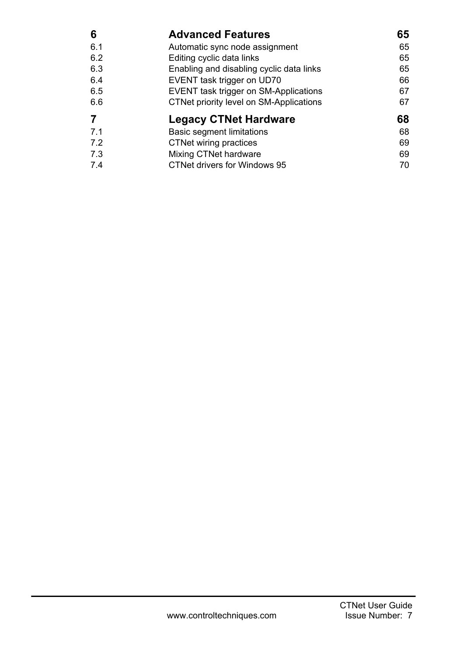| 6   | <b>Advanced Features</b>                     | 65 |
|-----|----------------------------------------------|----|
| 6.1 | Automatic sync node assignment               | 65 |
| 6.2 | Editing cyclic data links                    | 65 |
| 6.3 | Enabling and disabling cyclic data links     | 65 |
| 6.4 | EVENT task trigger on UD70                   | 66 |
| 6.5 | <b>EVENT task trigger on SM-Applications</b> | 67 |
| 6.6 | CTNet priority level on SM-Applications      | 67 |
|     | <b>Legacy CTNet Hardware</b>                 | 68 |
| 7.1 | <b>Basic segment limitations</b>             | 68 |
| 7.2 | CTNet wiring practices                       | 69 |
| 7.3 | Mixing CTNet hardware                        | 69 |
| 7.4 | CTNet drivers for Windows 95                 | 70 |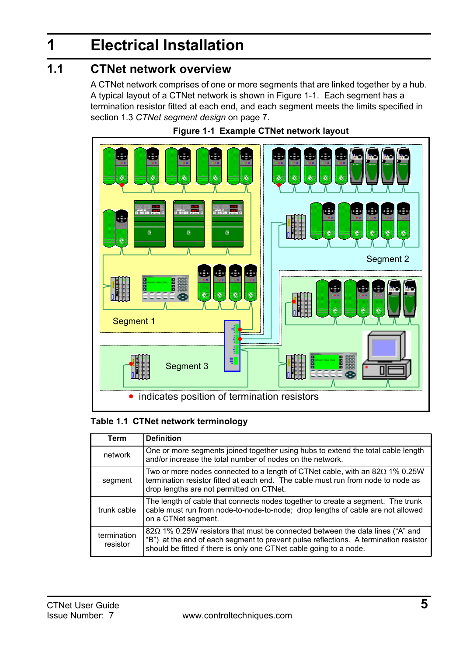# <span id="page-4-2"></span><span id="page-4-0"></span>**1 Electrical Installation**

## <span id="page-4-1"></span>**1.1 CTNet network overview**

A CTNet network comprises of one or more segments that are linked together by a hub. A typical layout of a CTNet network is shown in Figure 1-1. Each segment has a termination resistor fitted at each end, and each segment meets the limits specified in section 1.3 *[CTNet segment design](#page-6-0)* on page 7.





#### **Table 1.1 CTNet network terminology**

| Term                    | <b>Definition</b>                                                                                                                                                                                                                                  |
|-------------------------|----------------------------------------------------------------------------------------------------------------------------------------------------------------------------------------------------------------------------------------------------|
| network                 | One or more segments joined together using hubs to extend the total cable length<br>and/or increase the total number of nodes on the network.                                                                                                      |
| segment                 | Two or more nodes connected to a length of CTNet cable, with an $82\Omega$ 1% 0.25W<br>termination resistor fitted at each end. The cable must run from node to node as<br>drop lengths are not permitted on CTNet.                                |
| trunk cable             | The length of cable that connects nodes together to create a segment. The trunk<br>cable must run from node-to-node-to-node; drop lengths of cable are not allowed<br>on a CTNet segment.                                                          |
| termination<br>resistor | $82\Omega$ 1% 0.25W resistors that must be connected between the data lines ("A" and<br>"B") at the end of each segment to prevent pulse reflections. A termination resistor<br>should be fitted if there is only one CTNet cable going to a node. |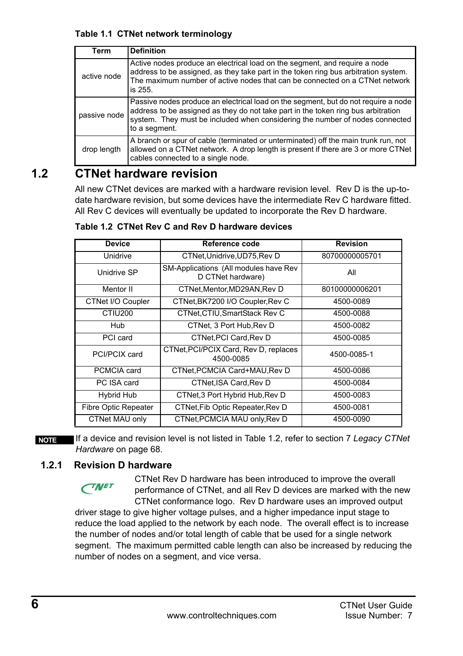#### **Table 1.1 CTNet network terminology**

| Term         | <b>Definition</b>                                                                                                                                                                                                                                                        |
|--------------|--------------------------------------------------------------------------------------------------------------------------------------------------------------------------------------------------------------------------------------------------------------------------|
| active node  | Active nodes produce an electrical load on the segment, and require a node<br>address to be assigned, as they take part in the token ring bus arbitration system.<br>The maximum number of active nodes that can be connected on a CTNet network<br>is 255.              |
| passive node | Passive nodes produce an electrical load on the segment, but do not require a node<br>address to be assigned as they do not take part in the token ring bus arbitration<br>system. They must be included when considering the number of nodes connected<br>to a segment. |
| drop length  | A branch or spur of cable (terminated or unterminated) off the main trunk run, not<br>allowed on a CTNet network. A drop length is present if there are 3 or more CTNet<br>cables connected to a single node.                                                            |

## <span id="page-5-0"></span>**1.2 CTNet hardware revision**

All new CTNet devices are marked with a hardware revision level. Rev D is the up-todate hardware revision, but some devices have the intermediate Rev C hardware fitted. All Rev C devices will eventually be updated to incorporate the Rev D hardware.

| <b>Device</b>               | Reference code                                             | <b>Revision</b> |
|-----------------------------|------------------------------------------------------------|-----------------|
| Unidrive                    | CTNet, Unidrive, UD75, Rev D                               | 80700000005701  |
| Unidrive SP                 | SM-Applications (All modules have Rev<br>D CTNet hardware) | All             |
| Mentor II                   | CTNet, Mentor, MD29AN, Rev D                               | 80100000006201  |
| CTNet I/O Coupler           | CTNet, BK7200 I/O Coupler, Rev C                           | 4500-0089       |
| CTIU <sub>200</sub>         | CTNet, CTIU, SmartStack Rev C                              | 4500-0088       |
| Hub                         | CTNet, 3 Port Hub, Rev D                                   | 4500-0082       |
| PCI card                    | CTNet, PCI Card, Rev D                                     | 4500-0085       |
| PCI/PCIX card               | CTNet, PCI/PCIX Card, Rev D, replaces<br>4500-0085         | 4500-0085-1     |
| PCMCIA card                 | CTNet, PCMCIA Card+MAU, Rev D                              | 4500-0086       |
| PC ISA card                 | CTNet.ISA Card.Rev D                                       | 4500-0084       |
| Hybrid Hub                  | CTNet, 3 Port Hybrid Hub, Rev D                            | 4500-0083       |
| <b>Fibre Optic Repeater</b> | CTNet, Fib Optic Repeater, Rev D                           | 4500-0081       |
| CTNet MAU only              | CTNet, PCMCIA MAU only, Rev D                              | 4500-0090       |

**Table 1.2 CTNet Rev C and Rev D hardware devices**

**NOTE**

If a device and revision level is not listed in Table 1.2, refer to section 7 *[Legacy CTNet](#page-67-2)  Hardware* [on page 68](#page-67-2).

### **1.2.1 Revision D hardware**

CTNet Rev D hardware has been introduced to improve the overall performance of CTNet, and all Rev D devices are marked with the new CTNet conformance logo. Rev D hardware uses an improved output driver stage to give higher voltage pulses, and a higher impedance input stage to reduce the load applied to the network by each node. The overall effect is to increase the number of nodes and/or total length of cable that be used for a single network segment. The maximum permitted cable length can also be increased by reducing the number of nodes on a segment, and vice versa. **CINET**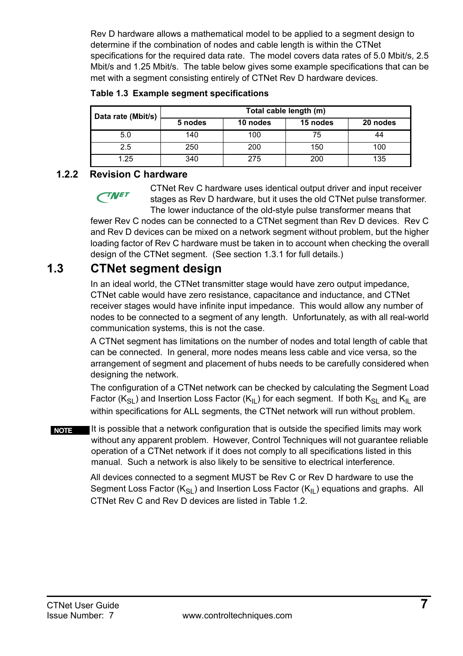Rev D hardware allows a mathematical model to be applied to a segment design to determine if the combination of nodes and cable length is within the CTNet specifications for the required data rate. The model covers data rates of 5.0 Mbit/s, 2.5 Mbit/s and 1.25 Mbit/s. The table below gives some example specifications that can be met with a segment consisting entirely of CTNet Rev D hardware devices.

|  |  |  | Table 1.3 Example segment specifications |
|--|--|--|------------------------------------------|
|--|--|--|------------------------------------------|

| Data rate (Mbit/s) | Total cable length (m) |          |          |          |
|--------------------|------------------------|----------|----------|----------|
|                    | 5 nodes                | 10 nodes | 15 nodes | 20 nodes |
| 5.0                | 140                    | 100      | 75       | 44       |
| 2.5                | 250                    | 200      | 150      | 100      |
| 1.25               | 340                    | 275      | 200      | 135      |

### **1.2.2 Revision C hardware**

**TNET** 

CTNet Rev C hardware uses identical output driver and input receiver stages as Rev D hardware, but it uses the old CTNet pulse transformer. The lower inductance of the old-style pulse transformer means that

fewer Rev C nodes can be connected to a CTNet segment than Rev D devices. Rev C and Rev D devices can be mixed on a network segment without problem, but the higher loading factor of Rev C hardware must be taken in to account when checking the overall design of the CTNet segment. (See [section 1.3.1](#page-7-0) for full details.)

## <span id="page-6-0"></span>**1.3 CTNet segment design**

In an ideal world, the CTNet transmitter stage would have zero output impedance, CTNet cable would have zero resistance, capacitance and inductance, and CTNet receiver stages would have infinite input impedance. This would allow any number of nodes to be connected to a segment of any length. Unfortunately, as with all real-world communication systems, this is not the case.

A CTNet segment has limitations on the number of nodes and total length of cable that can be connected. In general, more nodes means less cable and vice versa, so the arrangement of segment and placement of hubs needs to be carefully considered when designing the network.

The configuration of a CTNet network can be checked by calculating the Segment Load Factor ( $K_{SI}$ ) and Insertion Loss Factor ( $K_{II}$ ) for each segment. If both  $K_{SI}$  and  $K_{II}$  are within specifications for ALL segments, the CTNet network will run without problem.

It is possible that a network configuration that is outside the specified limits may work without any apparent problem. However, Control Techniques will not guarantee reliable operation of a CTNet network if it does not comply to all specifications listed in this manual. Such a network is also likely to be sensitive to electrical interference. **NOTE**

> All devices connected to a segment MUST be Rev C or Rev D hardware to use the Segment Loss Factor ( $K_{SI}$ ) and Insertion Loss Factor ( $K_{II}$ ) equations and graphs. All CTNet Rev C and Rev D devices are listed in Table 1.2.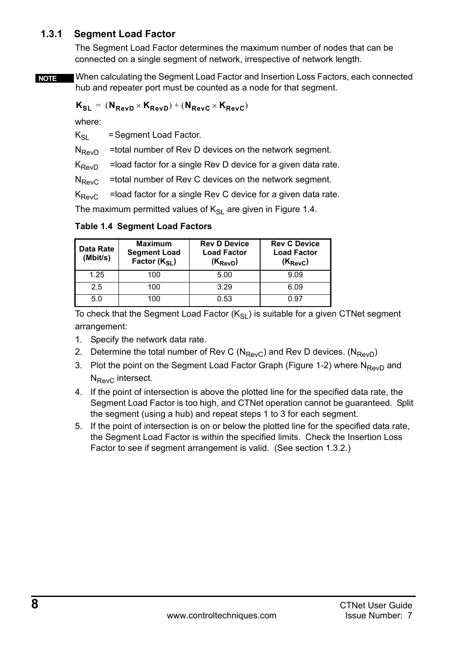### <span id="page-7-0"></span>**1.3.1 Segment Load Factor**

The Segment Load Factor determines the maximum number of nodes that can be connected on a single segment of network, irrespective of network length.

When calculating the Segment Load Factor and Insertion Loss Factors, each connected hub and repeater port must be counted as a node for that segment. **NOTE**

$$
\mathbf{K}_{\text{SL}} = (\mathbf{N}_{\text{RevD}} \times \mathbf{K}_{\text{RevD}}) + (\mathbf{N}_{\text{RevC}} \times \mathbf{K}_{\text{RevC}})
$$

where:

 $K_{SI}$  = Segment Load Factor.

 $N_{\text{Pevo}}$  =total number of Rev D devices on the network segment.

 $K_{\text{RevD}}$  =load factor for a single Rev D device for a given data rate.

 $N_{\text{ReV}C}$  =total number of Rev C devices on the network segment.

 $K_{\text{RevC}}$  = load factor for a single Rev C device for a given data rate.

The maximum permitted values of  $K_{SI}$  are given in [Figure 1.4.](#page-7-1)

| Data Rate<br>(Mbit/s) | <b>Maximum</b><br><b>Segment Load</b><br>Factor (Ksi) | <b>Rev D Device</b><br><b>Load Factor</b><br>$(K_{\text{ReVD}})$ | <b>Rev C Device</b><br><b>Load Factor</b><br>$(K_{\text{RavC}})$ |
|-----------------------|-------------------------------------------------------|------------------------------------------------------------------|------------------------------------------------------------------|
| 1.25                  | 100                                                   | 5.00                                                             | 9.09                                                             |
| 2.5                   | 100                                                   | 3.29                                                             | 6.09                                                             |
| 5.0                   | 100                                                   | 0.53                                                             | በ 97                                                             |

<span id="page-7-1"></span>**Table 1.4 Segment Load Factors**

To check that the Segment Load Factor  $(K_{\rm SI})$  is suitable for a given CTNet segment arrangement:

- 1. Specify the network data rate.
- 2. Determine the total number of Rev C ( $N_{\text{RevC}}$ ) and Rev D devices. ( $N_{\text{RevD}}$ )
- 3. Plot the point on the Segment Load Factor Graph ([Figure 1-2](#page-8-0)) where  $N_{\text{RevD}}$  and  $N_{\text{RevC}}$  intersect.
- 4. If the point of intersection is above the plotted line for the specified data rate, the Segment Load Factor is too high, and CTNet operation cannot be guaranteed. Split the segment (using a hub) and repeat steps 1 to 3 for each segment.
- 5. If the point of intersection is on or below the plotted line for the specified data rate, the Segment Load Factor is within the specified limits. Check the Insertion Loss Factor to see if segment arrangement is valid. (See [section 1.3.2](#page-9-0).)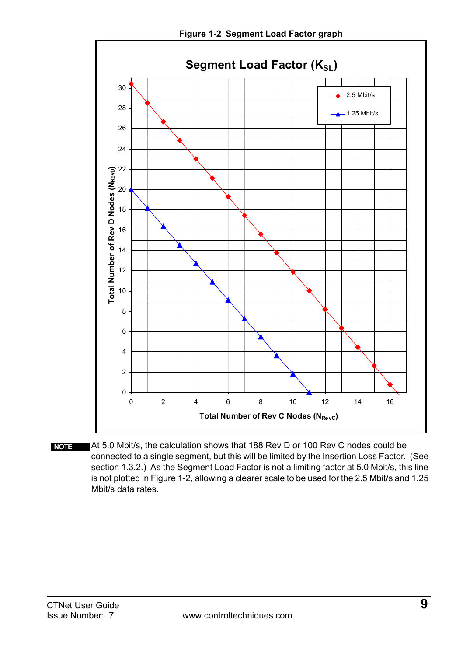<span id="page-8-0"></span>

At 5.0 Mbit/s, the calculation shows that 188 Rev D or 100 Rev C nodes could be connected to a single segment, but this will be limited by the Insertion Loss Factor. (See [section 1.3.2.](#page-9-0)) As the Segment Load Factor is not a limiting factor at 5.0 Mbit/s, this line is not plotted in [Figure 1-2,](#page-8-0) allowing a clearer scale to be used for the 2.5 Mbit/s and 1.25 Mbit/s data rates. **NOTE**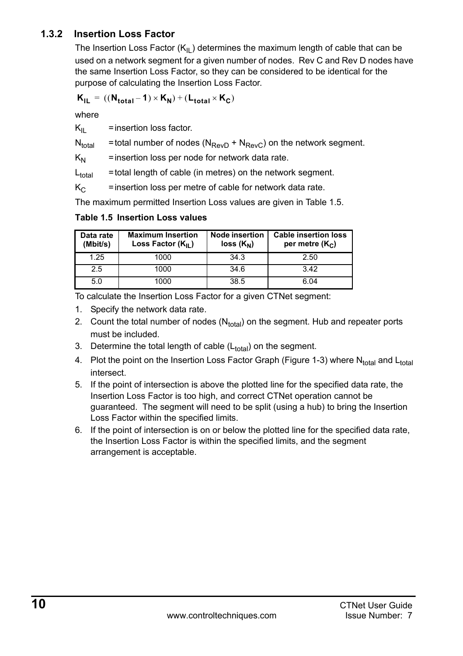### <span id="page-9-0"></span>**1.3.2 Insertion Loss Factor**

The Insertion Loss Factor  $(K_{II})$  determines the maximum length of cable that can be used on a network segment for a given number of nodes. Rev C and Rev D nodes have the same Insertion Loss Factor, so they can be considered to be identical for the purpose of calculating the Insertion Loss Factor.

$$
\boldsymbol{K}_{IL} = ((\boldsymbol{N}_{total} - 1) \times \boldsymbol{K_N}) + (\boldsymbol{L_{total}} \times \boldsymbol{K_C})
$$

where

 $K_{II}$  = insertion loss factor.

 $N_{total}$  = total number of nodes ( $N_{ReV}$  +  $N_{ReV}$ ) on the network segment.

 $K_N$  = insertion loss per node for network data rate.

 $L_{total}$  = total length of cable (in metres) on the network segment.

 $K<sub>C</sub>$  = insertion loss per metre of cable for network data rate.

The maximum permitted Insertion Loss values are given in [Table 1.5.](#page-9-1)

| Data rate<br>(Mbit/s) | <b>Maximum Insertion</b><br>Loss Factor $(K_{II})$ | <b>Node insertion</b><br>$loss (K_N)$ | <b>Cable insertion loss</b><br>per metre $(K_C)$ |
|-----------------------|----------------------------------------------------|---------------------------------------|--------------------------------------------------|
| 1.25                  | 1000                                               | 34.3                                  | 2.50                                             |
| 2.5                   | 1000                                               | 34.6                                  | 342                                              |
| 5.0                   | 1000                                               | 38.5                                  | 6.04                                             |

#### <span id="page-9-1"></span>**Table 1.5 Insertion Loss values**

To calculate the Insertion Loss Factor for a given CTNet segment:

- 1. Specify the network data rate.
- 2. Count the total number of nodes  $(N<sub>total</sub>)$  on the segment. Hub and repeater ports must be included.
- 3. Determine the total length of cable  $(L_{total})$  on the segment.
- 4. Plot the point on the Insertion Loss Factor Graph (Figure 1-3) where N<sub>total</sub> and L<sub>total</sub> intersect.
- 5. If the point of intersection is above the plotted line for the specified data rate, the Insertion Loss Factor is too high, and correct CTNet operation cannot be guaranteed. The segment will need to be split (using a hub) to bring the Insertion Loss Factor within the specified limits.
- 6. If the point of intersection is on or below the plotted line for the specified data rate, the Insertion Loss Factor is within the specified limits, and the segment arrangement is acceptable.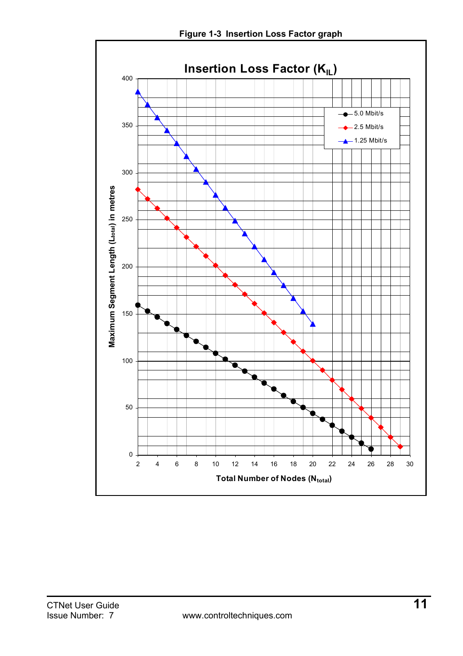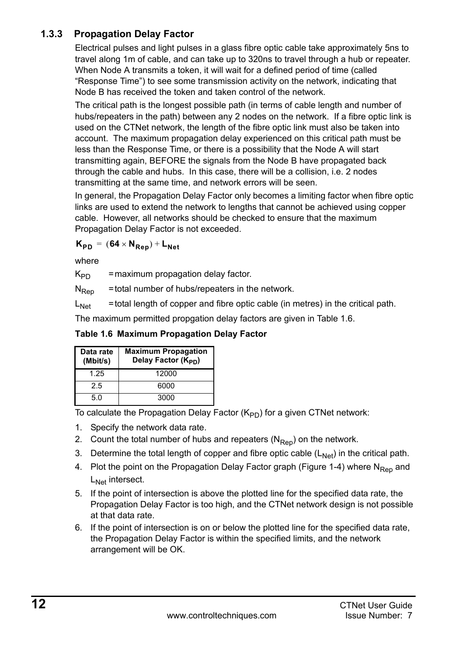### **1.3.3 Propagation Delay Factor**

Electrical pulses and light pulses in a glass fibre optic cable take approximately 5ns to travel along 1m of cable, and can take up to 320ns to travel through a hub or repeater. When Node A transmits a token, it will wait for a defined period of time (called "Response Time") to see some transmission activity on the network, indicating that Node B has received the token and taken control of the network.

The critical path is the longest possible path (in terms of cable length and number of hubs/repeaters in the path) between any 2 nodes on the network. If a fibre optic link is used on the CTNet network, the length of the fibre optic link must also be taken into account. The maximum propagation delay experienced on this critical path must be less than the Response Time, or there is a possibility that the Node A will start transmitting again, BEFORE the signals from the Node B have propagated back through the cable and hubs. In this case, there will be a collision, i.e. 2 nodes transmitting at the same time, and network errors will be seen.

In general, the Propagation Delay Factor only becomes a limiting factor when fibre optic links are used to extend the network to lengths that cannot be achieved using copper cable. However, all networks should be checked to ensure that the maximum Propagation Delay Factor is not exceeded.

 $K_{PD} = (64 \times N_{Ren}) + L_{Net}$ 

where

 $K_{\text{PD}}$  = maximum propagation delay factor.

 $N<sub>Ren</sub>$  = total number of hubs/repeaters in the network.

 $L_{\text{Net}}$  = total length of copper and fibre optic cable (in metres) in the critical path.

The maximum permitted propgation delay factors are given in [Table 1.6.](#page-11-0)

<span id="page-11-0"></span>**Table 1.6 Maximum Propagation Delay Factor**

| Data rate<br>(Mbit/s) | <b>Maximum Propagation</b><br>Delay Factor (K <sub>PD</sub> ) |
|-----------------------|---------------------------------------------------------------|
| 1.25                  | 12000                                                         |
| 25                    | 6000                                                          |
| 5.0                   | 3000                                                          |

To calculate the Propagation Delay Factor  $(K_{\text{PD}})$  for a given CTNet network:

- 1. Specify the network data rate.
- 2. Count the total number of hubs and repeaters  $(N_{\text{Ren}})$  on the network.
- 3. Determine the total length of copper and fibre optic cable  $(L_{Net})$  in the critical path.
- 4. Plot the point on the Propagation Delay Factor graph ([Figure 1-4](#page-12-0)) where N<sub>Rep</sub> and L<sub>Net</sub> intersect.
- 5. If the point of intersection is above the plotted line for the specified data rate, the Propagation Delay Factor is too high, and the CTNet network design is not possible at that data rate.
- 6. If the point of intersection is on or below the plotted line for the specified data rate, the Propagation Delay Factor is within the specified limits, and the network arrangement will be OK.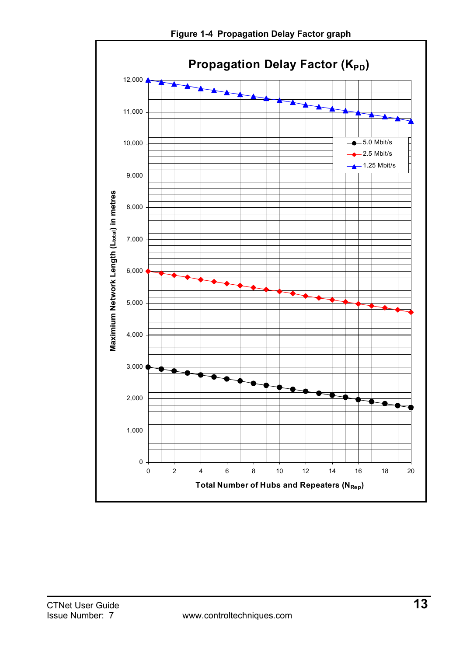<span id="page-12-0"></span>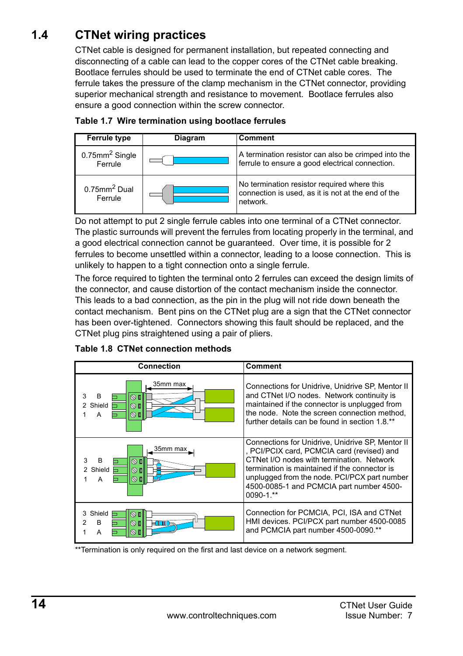## <span id="page-13-0"></span>**1.4 CTNet wiring practices**

<span id="page-13-1"></span>CTNet cable is designed for permanent installation, but repeated connecting and disconnecting of a cable can lead to the copper cores of the CTNet cable breaking. Bootlace ferrules should be used to terminate the end of CTNet cable cores. The ferrule takes the pressure of the clamp mechanism in the CTNet connector, providing superior mechanical strength and resistance to movement. Bootlace ferrules also ensure a good connection within the screw connector.

| <b>Ferrule type</b>                      | <b>Diagram</b> | Comment                                                                                                       |
|------------------------------------------|----------------|---------------------------------------------------------------------------------------------------------------|
| $0.75$ mm <sup>2</sup> Single<br>Ferrule |                | A termination resistor can also be crimped into the<br>ferrule to ensure a good electrical connection.        |
| $0.75$ mm <sup>2</sup> Dual<br>Ferrule   |                | No termination resistor required where this<br>connection is used, as it is not at the end of the<br>network. |



Do not attempt to put 2 single ferrule cables into one terminal of a CTNet connector. The plastic surrounds will prevent the ferrules from locating properly in the terminal, and a good electrical connection cannot be guaranteed. Over time, it is possible for 2 ferrules to become unsettled within a connector, leading to a loose connection. This is unlikely to happen to a tight connection onto a single ferrule.

The force required to tighten the terminal onto 2 ferrules can exceed the design limits of the connector, and cause distortion of the contact mechanism inside the connector. This leads to a bad connection, as the pin in the plug will not ride down beneath the contact mechanism. Bent pins on the CTNet plug are a sign that the CTNet connector has been over-tightened. Connectors showing this fault should be replaced, and the CTNet plug pins straightened using a pair of pliers.



#### **Table 1.8 CTNet connection methods**

\*\*Termination is only required on the first and last device on a network segment.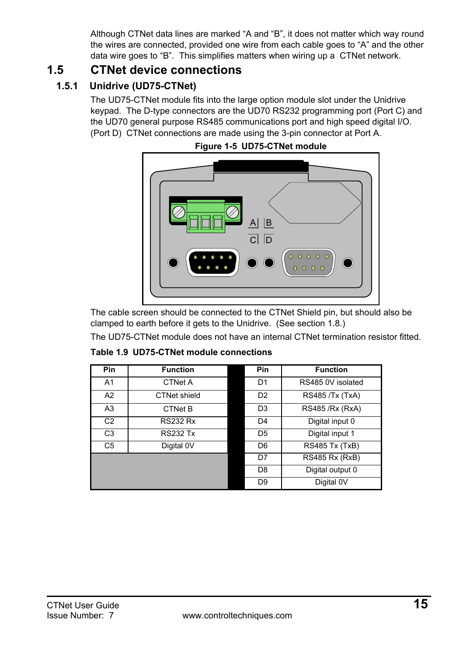Although CTNet data lines are marked "A and "B", it does not matter which way round the wires are connected, provided one wire from each cable goes to "A" and the other data wire goes to "B". This simplifies matters when wiring up a CTNet network.

## <span id="page-14-0"></span>**1.5 CTNet device connections**

## **1.5.1 Unidrive (UD75-CTNet)**

The UD75-CTNet module fits into the large option module slot under the Unidrive keypad. The D-type connectors are the UD70 RS232 programming port (Port C) and the UD70 general purpose RS485 communications port and high speed digital I/O. (Port D) CTNet connections are made using the 3-pin connector at Port A.



#### **Figure 1-5 UD75-CTNet module**

The cable screen should be connected to the CTNet Shield pin, but should also be clamped to earth before it gets to the Unidrive. (See [section 1.8](#page-30-0).)

The UD75-CTNet module does not have an internal CTNet termination resistor fitted.

| Pin            | <b>Function</b> | <b>Pin</b>     | <b>Function</b>        |
|----------------|-----------------|----------------|------------------------|
| A <sub>1</sub> | CTNet A         | D <sub>1</sub> | RS485 0V isolated      |
| A2             | CTNet shield    | D <sub>2</sub> | <b>RS485 /Tx (TxA)</b> |
| A <sub>3</sub> | <b>CTNet B</b>  | D <sub>3</sub> | RS485 /Rx (RxA)        |
| C <sub>2</sub> | <b>RS232 Rx</b> | D <sub>4</sub> | Digital input 0        |
| C <sub>3</sub> | <b>RS232 Tx</b> | D <sub>5</sub> | Digital input 1        |
| C <sub>5</sub> | Digital 0V      | D <sub>6</sub> | <b>RS485 Tx (TxB)</b>  |
|                |                 | D7             | <b>RS485 Rx (RxB)</b>  |
|                |                 | D <sub>8</sub> | Digital output 0       |
|                |                 | D <sub>9</sub> | Digital 0V             |

**Table 1.9 UD75-CTNet module connections**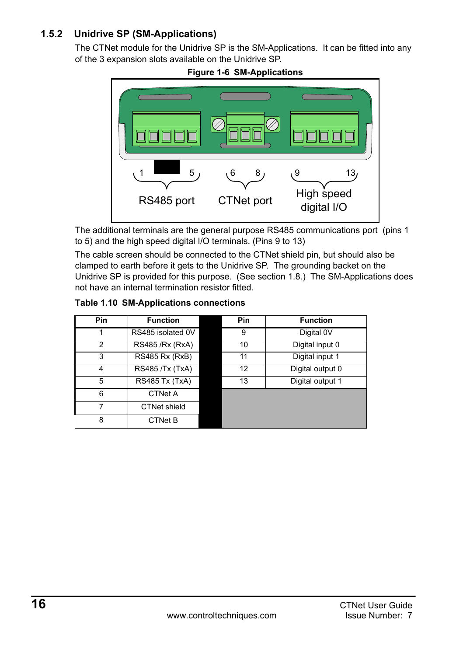### **1.5.2 Unidrive SP (SM-Applications)**

The CTNet module for the Unidrive SP is the SM-Applications. It can be fitted into any of the 3 expansion slots available on the Unidrive SP.





The additional terminals are the general purpose RS485 communications port (pins 1 to 5) and the high speed digital I/O terminals. (Pins 9 to 13)

The cable screen should be connected to the CTNet shield pin, but should also be clamped to earth before it gets to the Unidrive SP. The grounding backet on the Unidrive SP is provided for this purpose. (See [section 1.8](#page-30-0).) The SM-Applications does not have an internal termination resistor fitted.

| Pin | <b>Function</b>       | <b>Pin</b> | <b>Function</b>  |
|-----|-----------------------|------------|------------------|
|     | RS485 isolated 0V     | 9          | Digital 0V       |
| 2   | RS485 / Rx (RxA)      | 10         | Digital input 0  |
| 3   | <b>RS485 Rx (RxB)</b> | 11         | Digital input 1  |
| 4   | RS485 /Tx (TxA)       | 12         | Digital output 0 |
| 5   | RS485 Tx (TxA)        | 13         | Digital output 1 |
| 6   | <b>CTNet A</b>        |            |                  |
|     | <b>CTNet shield</b>   |            |                  |
| 8   | CTNet B               |            |                  |

#### **Table 1.10 SM-Applications connections**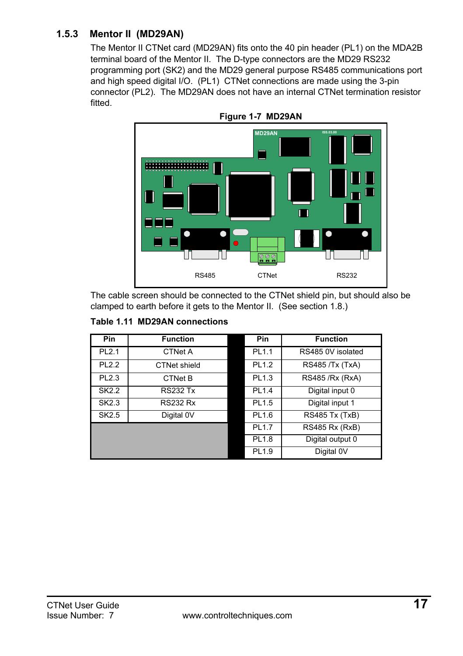### **1.5.3 Mentor II (MD29AN)**

The Mentor II CTNet card (MD29AN) fits onto the 40 pin header (PL1) on the MDA2B terminal board of the Mentor II. The D-type connectors are the MD29 RS232 programming port (SK2) and the MD29 general purpose RS485 communications port and high speed digital I/O. (PL1) CTNet connections are made using the 3-pin connector (PL2). The MD29AN does not have an internal CTNet termination resistor fitted.



The cable screen should be connected to the CTNet shield pin, but should also be clamped to earth before it gets to the Mentor II. (See [section 1.8.](#page-30-0))

|  |  | Table 1.11 MD29AN connections |
|--|--|-------------------------------|
|--|--|-------------------------------|

| Pin               | <b>Function</b> | Pin               | <b>Function</b>       |
|-------------------|-----------------|-------------------|-----------------------|
| <b>PL2.1</b>      | CTNet A         | PL1.1             | RS485 0V isolated     |
| PL <sub>2.2</sub> | CTNet shield    | PL1.2             | RS485 /Tx (TxA)       |
| PL <sub>2.3</sub> | <b>CTNet B</b>  | PL1.3             | RS485 /Rx (RxA)       |
| SK2.2             | <b>RS232 Tx</b> | PL1.4             | Digital input 0       |
| SK2.3             | <b>RS232 Rx</b> | PL1.5             | Digital input 1       |
| SK2.5             | Digital 0V      | PL1.6             | RS485 Tx (TxB)        |
|                   |                 | PL1.7             | <b>RS485 Rx (RxB)</b> |
|                   |                 | PL1.8             | Digital output 0      |
|                   |                 | PL <sub>1.9</sub> | Digital 0V            |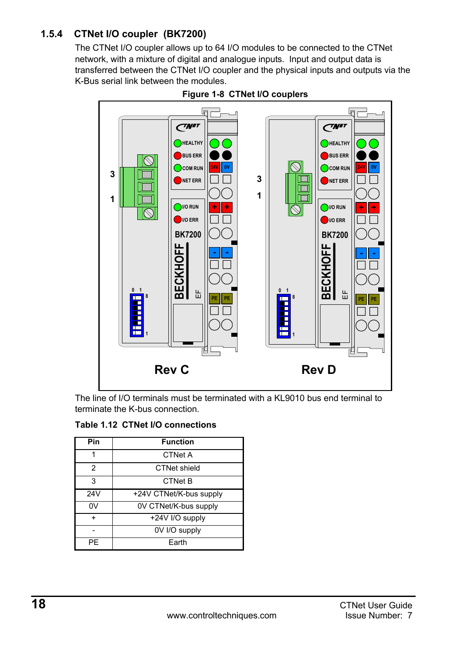### **1.5.4 CTNet I/O coupler (BK7200)**

The CTNet I/O coupler allows up to 64 I/O modules to be connected to the CTNet network, with a mixture of digital and analogue inputs. Input and output data is transferred between the CTNet I/O coupler and the physical inputs and outputs via the K-Bus serial link between the modules.





The line of I/O terminals must be terminated with a KL9010 bus end terminal to terminate the K-bus connection.

**Table 1.12 CTNet I/O connections**

| Pin       | <b>Function</b>         |
|-----------|-------------------------|
| 1         | <b>CTNet A</b>          |
| 2         | CTNet shield            |
| 3         | <b>CTNet B</b>          |
| 24V       | +24V CTNet/K-bus supply |
| 0V        | 0V CTNet/K-bus supply   |
| $\ddot{}$ | +24V I/O supply         |
|           | 0V I/O supply           |
| PF        | Earth                   |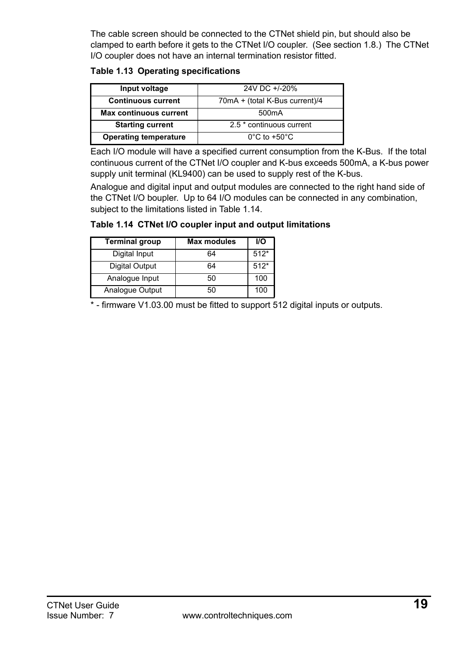The cable screen should be connected to the CTNet shield pin, but should also be clamped to earth before it gets to the CTNet I/O coupler. (See [section 1.8](#page-30-0).) The CTNet I/O coupler does not have an internal termination resistor fitted.

#### **Table 1.13 Operating specifications**

| Input voltage                 | 24V DC +/-20%                     |
|-------------------------------|-----------------------------------|
| <b>Continuous current</b>     | 70mA + (total K-Bus current)/4    |
| <b>Max continuous current</b> | 500 <sub>m</sub> A                |
| <b>Starting current</b>       | 2.5 * continuous current          |
| <b>Operating temperature</b>  | $0^{\circ}$ C to +50 $^{\circ}$ C |

Each I/O module will have a specified current consumption from the K-Bus. If the total continuous current of the CTNet I/O coupler and K-bus exceeds 500mA, a K-bus power supply unit terminal (KL9400) can be used to supply rest of the K-bus.

Analogue and digital input and output modules are connected to the right hand side of the CTNet I/O boupler. Up to 64 I/O modules can be connected in any combination, subject to the limitations listed in [Table 1.14.](#page-18-0)

#### <span id="page-18-0"></span>**Table 1.14 CTNet I/O coupler input and output limitations**

| <b>Terminal group</b> | <b>Max modules</b> | <b>VO</b> |
|-----------------------|--------------------|-----------|
| Digital Input         | 64                 | $512*$    |
| <b>Digital Output</b> | 64                 | $512*$    |
| Analogue Input        | 50                 | 100       |
| Analogue Output       | 50                 | 100       |

\* - firmware V1.03.00 must be fitted to support 512 digital inputs or outputs.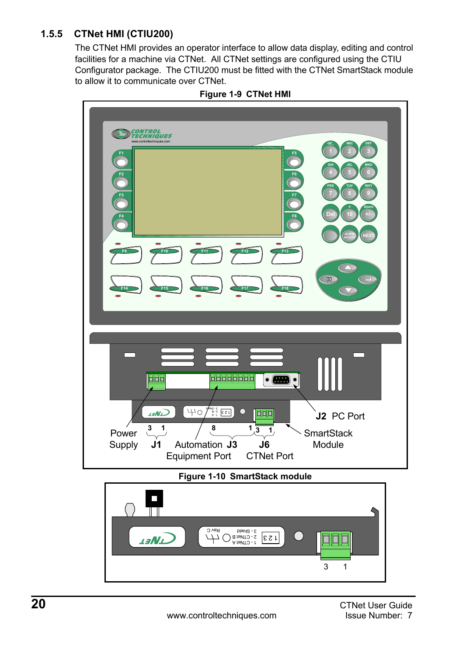### **1.5.5 CTNet HMI (CTIU200)**

The CTNet HMI provides an operator interface to allow data display, editing and control facilities for a machine via CTNet. All CTNet settings are configured using the CTIU Configurator package. The CTIU200 must be fitted with the CTNet SmartStack module to allow it to communicate over CTNet.



**Figure 1-9 CTNet HMI**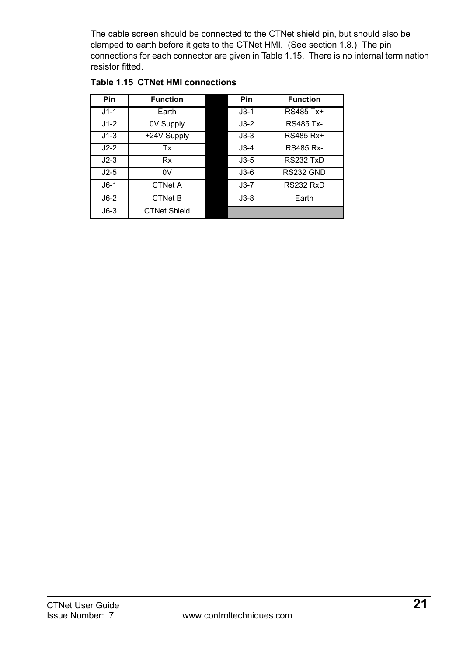The cable screen should be connected to the CTNet shield pin, but should also be clamped to earth before it gets to the CTNet HMI. (See [section 1.8.](#page-30-0)) The pin connections for each connector are given in Table 1.15. There is no internal termination resistor fitted.

| <b>Pin</b> | <b>Function</b>     | Pin    | <b>Function</b>  |
|------------|---------------------|--------|------------------|
| $J1-1$     | Earth               | $J3-1$ | RS485 Tx+        |
| $J1-2$     | 0V Supply           | $J3-2$ | <b>RS485 Tx-</b> |
| $J1-3$     | +24V Supply         | $J3-3$ | RS485 Rx+        |
| $J2-2$     | Tx                  | $J3-4$ | <b>RS485 Rx-</b> |
| $J2-3$     | <b>Rx</b>           | $J3-5$ | RS232 TxD        |
| $J2-5$     | 0V                  | $J3-6$ | RS232 GND        |
| $J6-1$     | <b>CTNet A</b>      | $J3-7$ | RS232 RxD        |
| $J6-2$     | <b>CTNet B</b>      | $J3-8$ | Earth            |
| $J6-3$     | <b>CTNet Shield</b> |        |                  |

#### **Table 1.15 CTNet HMI connections**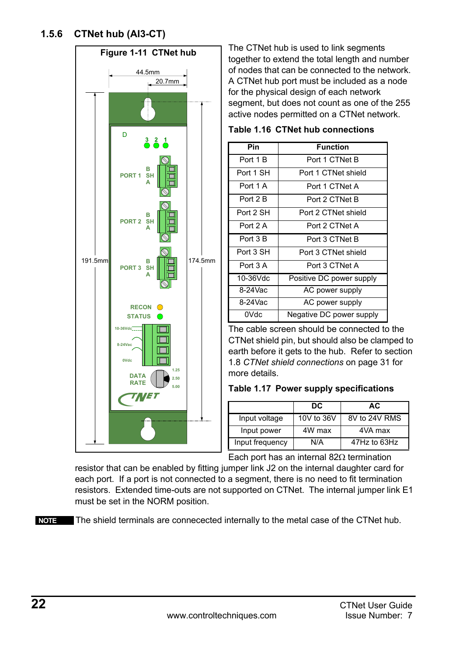<span id="page-21-0"></span>

The CTNet hub is used to link segments together to extend the total length and number of nodes that can be connected to the network. A CTNet hub port must be included as a node for the physical design of each network segment, but does not count as one of the 255 active nodes permitted on a CTNet network.

**Table 1.16 CTNet hub connections**

| Pin       | <b>Function</b>          |
|-----------|--------------------------|
| Port 1 B  | Port 1 CTNet B           |
| Port 1 SH | Port 1 CTNet shield      |
| Port 1 A  | Port 1 CTNet A           |
| Port 2 B  | Port 2 CTNet B           |
| Port 2 SH | Port 2 CTNet shield      |
| Port 2 A  | Port 2 CTNet A           |
| Port 3 B  | Port 3 CTNet B           |
| Port 3 SH | Port 3 CTNet shield      |
| Port 3 A  | Port 3 CTNet A           |
| 10-36Vdc  | Positive DC power supply |
| 8-24Vac   | AC power supply          |
| 8-24Vac   | AC power supply          |
| 0Vdc      | Negative DC power supply |

The cable screen should be connected to the CTNet shield pin, but should also be clamped to earth before it gets to the hub. Refer to [section](#page-30-0)  1.8 *[CTNet shield connections](#page-30-0)* on page 31 for more details.

|  |  |  | Table 1.17 Power supply specifications |
|--|--|--|----------------------------------------|
|--|--|--|----------------------------------------|

|                 | DC         | AC            |
|-----------------|------------|---------------|
| Input voltage   | 10V to 36V | 8V to 24V RMS |
| Input power     | 4W max     | 4VA max       |
| Input frequency | N/A        | 47Hz to 63Hz  |

Each port has an internal 82Ω termination

resistor that can be enabled by fitting jumper link J2 on the internal daughter card for each port. If a port is not connected to a segment, there is no need to fit termination resistors. Extended time-outs are not supported on CTNet. The internal jumper link E1 must be set in the NORM position.

The shield terminals are connecected internally to the metal case of the CTNet hub. **NOTE**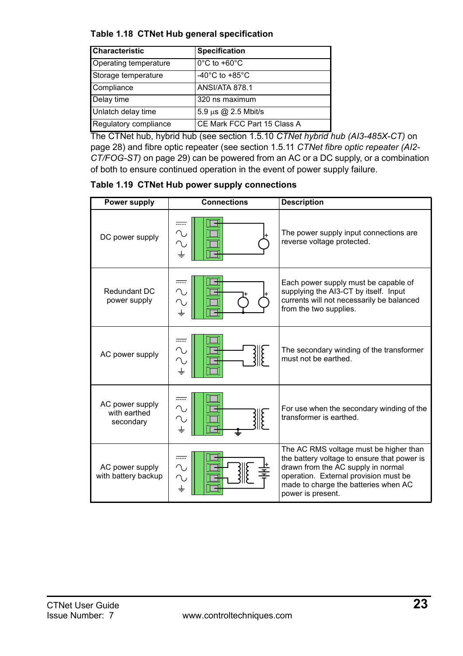#### **Table 1.18 CTNet Hub general specification**

| <b>Characteristic</b> | Specification                        |  |
|-----------------------|--------------------------------------|--|
| Operating temperature | $0^{\circ}$ C to +60 $^{\circ}$ C    |  |
| Storage temperature   | -40 $^{\circ}$ C to +85 $^{\circ}$ C |  |
| Compliance            | <b>ANSI/ATA 878.1</b>                |  |
| Delay time            | 320 ns maximum                       |  |
| Unlatch delay time    | 5.9 µs @ 2.5 Mbit/s                  |  |
| Regulatory compliance | CE Mark FCC Part 15 Class A          |  |

The CTNet hub, hybrid hub (see section 1.5.10 *[CTNet hybrid hub \(AI3-485X-CT\)](#page-27-0)* on [page 28](#page-27-0)) and fibre optic repeater (see section 1.5.11 *[CTNet fibre optic repeater \(AI2-](#page-28-0) [CT/FOG-ST\)](#page-28-0)* on page 29) can be powered from an AC or a DC supply, or a combination of both to ensure continued operation in the event of power supply failure.

**Table 1.19 CTNet Hub power supply connections**

| Power supply                                 | <b>Connections</b> | <b>Description</b>                                                                                                                                                                                                                |
|----------------------------------------------|--------------------|-----------------------------------------------------------------------------------------------------------------------------------------------------------------------------------------------------------------------------------|
| DC power supply                              |                    | The power supply input connections are<br>reverse voltage protected.                                                                                                                                                              |
| Redundant DC<br>power supply                 |                    | Each power supply must be capable of<br>supplying the AI3-CT by itself. Input<br>currents will not necessarily be balanced<br>from the two supplies.                                                                              |
| AC power supply                              |                    | The secondary winding of the transformer<br>must not be earthed.                                                                                                                                                                  |
| AC power supply<br>with earthed<br>secondary |                    | For use when the secondary winding of the<br>transformer is earthed                                                                                                                                                               |
| AC power supply<br>with battery backup       |                    | The AC RMS voltage must be higher than<br>the battery voltage to ensure that power is<br>drawn from the AC supply in normal<br>operation. External provision must be<br>made to charge the batteries when AC<br>power is present. |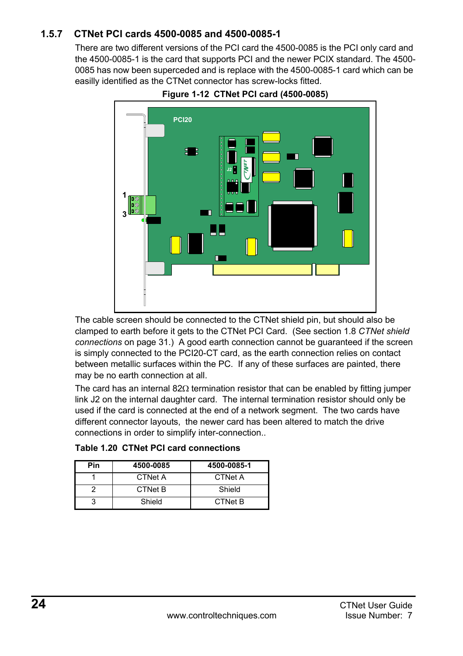### **1.5.7 CTNet PCI cards 4500-0085 and 4500-0085-1**

There are two different versions of the PCI card the 4500-0085 is the PCI only card and the 4500-0085-1 is the card that supports PCI and the newer PCIX standard. The 4500- 0085 has now been superceded and is replace with the 4500-0085-1 card which can be easilly identified as the CTNet connector has screw-locks fitted.



**Figure 1-12 CTNet PCI card (4500-0085)**

The cable screen should be connected to the CTNet shield pin, but should also be clamped to earth before it gets to the CTNet PCI Card. (See section 1.8 *[CTNet shield](#page-30-0)  [connections](#page-30-0)* on page 31.) A good earth connection cannot be guaranteed if the screen is simply connected to the PCI20-CT card, as the earth connection relies on contact between metallic surfaces within the PC. If any of these surfaces are painted, there may be no earth connection at all.

The card has an internal 82 $\Omega$  termination resistor that can be enabled by fitting jumper link J2 on the internal daughter card. The internal termination resistor should only be used if the card is connected at the end of a network segment. The two cards have different connector layouts, the newer card has been altered to match the drive connections in order to simplify inter-connection..

| Pin | 4500-0085      | 4500-0085-1    |
|-----|----------------|----------------|
|     | <b>CTNet A</b> | <b>CTNet A</b> |
|     | <b>CTNet B</b> | Shield         |
|     | Shield         | <b>CTNet B</b> |

|  |  |  | Table 1.20 CTNet PCI card connections |
|--|--|--|---------------------------------------|
|--|--|--|---------------------------------------|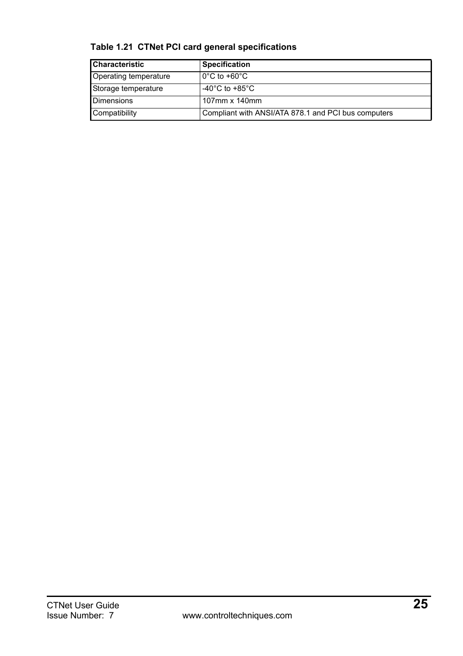| Characteristic        | <b>Specification</b>                                |
|-----------------------|-----------------------------------------------------|
| Operating temperature | $0^{\circ}$ C to +60 $^{\circ}$ C                   |
| Storage temperature   | -40 $^{\circ}$ C to +85 $^{\circ}$ C                |
| <b>Dimensions</b>     | 107mm x 140mm                                       |
| Compatibility         | Compliant with ANSI/ATA 878.1 and PCI bus computers |

### **Table 1.21 CTNet PCI card general specifications**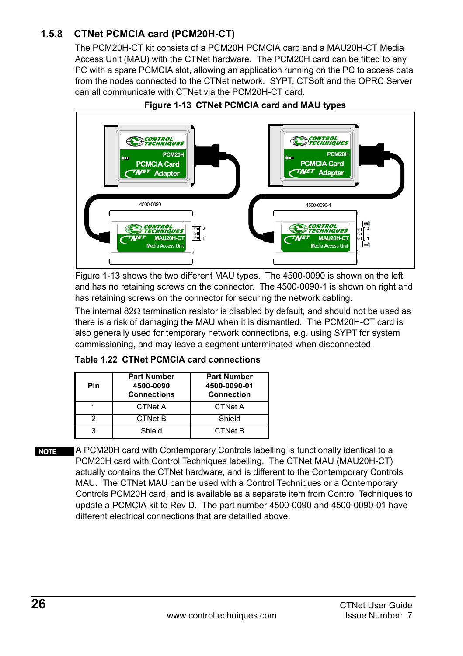### **1.5.8 CTNet PCMCIA card (PCM20H-CT)**

The PCM20H-CT kit consists of a PCM20H PCMCIA card and a MAU20H-CT Media Access Unit (MAU) with the CTNet hardware. The PCM20H card can be fitted to any PC with a spare PCMCIA slot, allowing an application running on the PC to access data from the nodes connected to the CTNet network. SYPT, CTSoft and the OPRC Server can all communicate with CTNet via the PCM20H-CT card.



#### **Figure 1-13 CTNet PCMCIA card and MAU types**

Figure 1-13 shows the two different MAU types. The 4500-0090 is shown on the left and has no retaining screws on the connector. The 4500-0090-1 is shown on right and has retaining screws on the connector for securing the network cabling.

The internal 82Ω termination resistor is disabled by default, and should not be used as there is a risk of damaging the MAU when it is dismantled. The PCM20H-CT card is also generally used for temporary network connections, e.g. using SYPT for system commissioning, and may leave a segment unterminated when disconnected.

|  |  | Table 1.22 CTNet PCMCIA card connections |
|--|--|------------------------------------------|
|  |  |                                          |

| Pin | <b>Part Number</b><br>4500-0090<br><b>Connections</b> | <b>Part Number</b><br>4500-0090-01<br><b>Connection</b> |
|-----|-------------------------------------------------------|---------------------------------------------------------|
|     | <b>CTNet A</b>                                        | <b>CTNet A</b>                                          |
|     | <b>CTNet B</b>                                        | Shield                                                  |
| ົ   | Shield                                                | <b>CTNet B</b>                                          |

A PCM20H card with Contemporary Controls labelling is functionally identical to a PCM20H card with Control Techniques labelling. The CTNet MAU (MAU20H-CT) actually contains the CTNet hardware, and is different to the Contemporary Controls MAU. The CTNet MAU can be used with a Control Techniques or a Contemporary Controls PCM20H card, and is available as a separate item from Control Techniques to update a PCMCIA kit to Rev D. The part number 4500-0090 and 4500-0090-01 have different electrical connections that are detailled above. **NOTE**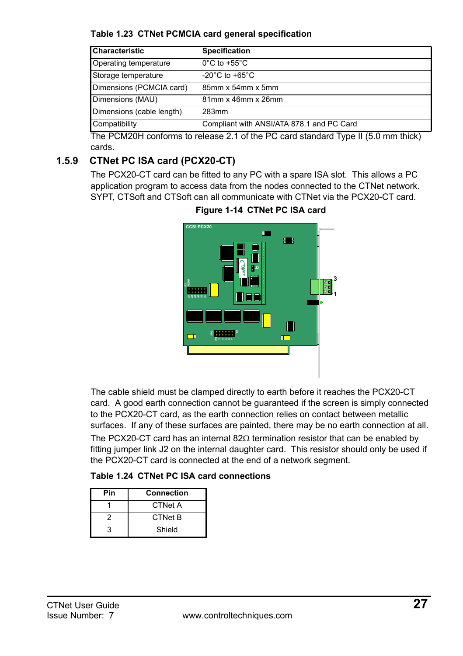**Table 1.23 CTNet PCMCIA card general specification**

| <b>Characteristic</b>     | <b>Specification</b>                      |
|---------------------------|-------------------------------------------|
| Operating temperature     | $0^{\circ}$ C to +55 $^{\circ}$ C         |
| Storage temperature       | -20 $^{\circ}$ C to +65 $^{\circ}$ C      |
| Dimensions (PCMCIA card)  | 85mm x 54mm x 5mm                         |
| Dimensions (MAU)          | 81mm x 46mm x 26mm                        |
| Dimensions (cable length) | 283mm                                     |
| Compatibility             | Compliant with ANSI/ATA 878.1 and PC Card |

The PCM20H conforms to release 2.1 of the PC card standard Type II (5.0 mm thick) cards.

### **1.5.9 CTNet PC ISA card (PCX20-CT)**

The PCX20-CT card can be fitted to any PC with a spare ISA slot. This allows a PC application program to access data from the nodes connected to the CTNet network. SYPT, CTSoft and CTSoft can all communicate with CTNet via the PCX20-CT card.

**Figure 1-14 CTNet PC ISA card**



The cable shield must be clamped directly to earth before it reaches the PCX20-CT card. A good earth connection cannot be guaranteed if the screen is simply connected to the PCX20-CT card, as the earth connection relies on contact between metallic surfaces. If any of these surfaces are painted, there may be no earth connection at all. The PCX20-CT card has an internal 82 $\Omega$  termination resistor that can be enabled by fitting jumper link J2 on the internal daughter card. This resistor should only be used if the PCX20-CT card is connected at the end of a network segment.

|  |  |  | Table 1.24 CTNet PC ISA card connections |
|--|--|--|------------------------------------------|
|--|--|--|------------------------------------------|

| Pin | Connection     |  |
|-----|----------------|--|
|     | <b>CTNet A</b> |  |
|     | <b>CTNet B</b> |  |
|     | Shield         |  |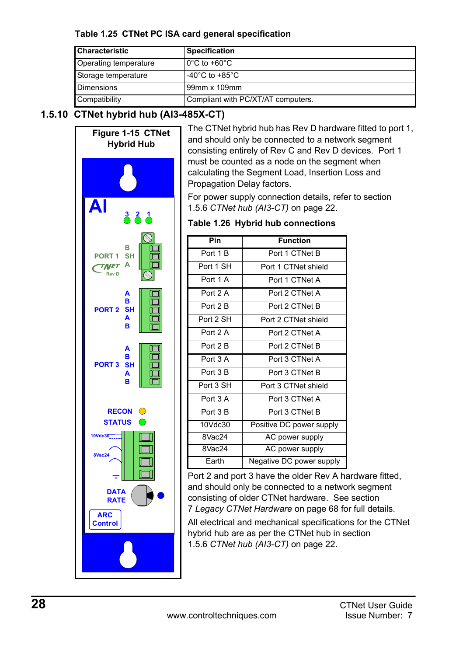#### **Table 1.25 CTNet PC ISA card general specification**

| <b>Characteristic</b> | <b>Specification</b>               |
|-----------------------|------------------------------------|
| Operating temperature | $0^{\circ}$ C to +60 $^{\circ}$ C  |
| Storage temperature   | $-40^{\circ}$ C to $+85^{\circ}$ C |
| <b>Dimensions</b>     | 99mm x 109mm                       |
| Compatibility         | Compliant with PC/XT/AT computers. |

### <span id="page-27-0"></span>**1.5.10 CTNet hybrid hub (AI3-485X-CT)**

<span id="page-27-1"></span>

The CTNet hybrid hub has Rev D hardware fitted to port 1, and should only be connected to a network segment consisting entirely of Rev C and Rev D devices. Port 1 must be counted as a node on the segment when calculating the Segment Load, Insertion Loss and Propagation Delay factors.

For power supply connection details, refer to [section](#page-21-0)  1.5.6 *[CTNet hub \(AI3-CT\)](#page-21-0)* on page 22.

#### **Table 1.26 Hybrid hub connections**

| Pin             | <b>Function</b>          |
|-----------------|--------------------------|
| Port 1 B        | Port 1 CTNet B           |
| Port 1 SH       | Port 1 CTNet shield      |
| Port 1 A        | Port 1 CTNet A           |
| Port 2 A        | Port 2 CTNet A           |
| Port 2 B        | Port 2 CTNet B           |
| Port 2 SH       | Port 2 CTNet shield      |
| Port 2 A        | Port 2 CTNet A           |
| Port 2 B        | Port 2 CTNet B           |
| Port 3 A        | Port 3 CTNet A           |
| Port 3 B        | Port 3 CTNet B           |
| Port 3 SH       | Port 3 CTNet shield      |
| Port 3 A        | Port 3 CTNet A           |
| Port 3B         | Port 3 CTNet B           |
| 10Vdc30         | Positive DC power supply |
| 8Vac24          | AC power supply          |
| $8\sqrt{ac}$ 24 | AC power supply          |
| Earth           | Negative DC power supply |

Port 2 and port 3 have the older Rev A hardware fitted, and should only be connected to a network segment consisting of older CTNet hardware. See [section](#page-67-2)  7 *[Legacy CTNet Hardware](#page-67-2)* on page 68 for full details.

All electrical and mechanical specifications for the CTNet hybrid hub are as per the CTNet hub in [section](#page-21-0)  1.5.6 *[CTNet hub \(AI3-CT\)](#page-21-0)* on page 22.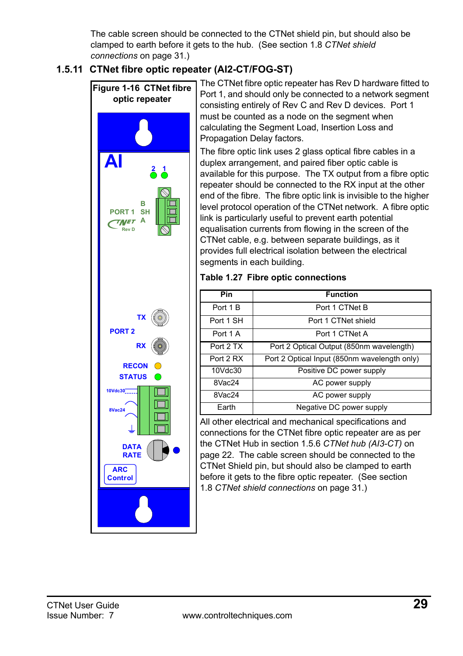The cable screen should be connected to the CTNet shield pin, but should also be clamped to earth before it gets to the hub. (See section 1.8 *[CTNet shield](#page-30-0)  [connections](#page-30-0)* on page 31.)

### <span id="page-28-0"></span>**1.5.11 CTNet fibre optic repeater (AI2-CT/FOG-ST)**



The CTNet fibre optic repeater has Rev D hardware fitted to Port 1, and should only be connected to a network segment consisting entirely of Rev C and Rev D devices. Port 1 must be counted as a node on the segment when calculating the Segment Load, Insertion Loss and Propagation Delay factors.

The fibre optic link uses 2 glass optical fibre cables in a duplex arrangement, and paired fiber optic cable is available for this purpose. The TX output from a fibre optic repeater should be connected to the RX input at the other end of the fibre. The fibre optic link is invisible to the higher level protocol operation of the CTNet network. A fibre optic link is particularly useful to prevent earth potential equalisation currents from flowing in the screen of the CTNet cable, e.g. between separate buildings, as it provides full electrical isolation between the electrical segments in each building.

#### **Table 1.27 Fibre optic connections**

| Pin       | <b>Function</b>                              |
|-----------|----------------------------------------------|
| Port 1 B  | Port 1 CTNet B                               |
| Port 1 SH | Port 1 CTNet shield                          |
| Port 1 A  | Port 1 CTNet A                               |
| Port 2 TX | Port 2 Optical Output (850nm wavelength)     |
| Port 2 RX | Port 2 Optical Input (850nm wavelength only) |
| 10Vdc30   | Positive DC power supply                     |
| 8Vac24    | AC power supply                              |
| 8Vac24    | AC power supply                              |
| Earth     | Negative DC power supply                     |

All other electrical and mechanical specifications and connections for the CTNet fibre optic repeater are as per the CTNet Hub in section 1.5.6 *[CTNet hub \(AI3-CT\)](#page-21-0)* on [page 22](#page-21-0). The cable screen should be connected to the CTNet Shield pin, but should also be clamped to earth before it gets to the fibre optic repeater. (See [section](#page-30-0)  1.8 *[CTNet shield connections](#page-30-0)* on page 31.)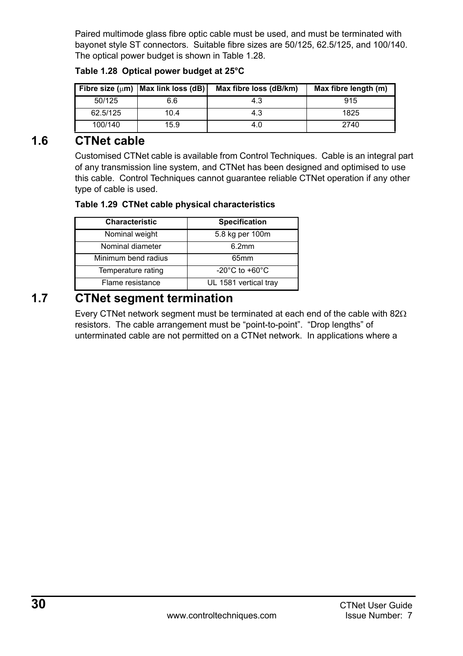Paired multimode glass fibre optic cable must be used, and must be terminated with bayonet style ST connectors. Suitable fibre sizes are 50/125, 62.5/125, and 100/140. The optical power budget is shown in [Table 1.28.](#page-29-2)

|          | Fibre size ( $\mu$ m)   Max link loss (dB) | Max fibre loss (dB/km) | Max fibre length (m) |
|----------|--------------------------------------------|------------------------|----------------------|
| 50/125   | 6.6                                        | 4.3                    | 915                  |
| 62.5/125 | 10.4                                       | 4.3                    | 1825                 |
| 100/140  | 15.9                                       | 4.0                    | 2740                 |

#### <span id="page-29-2"></span>**Table 1.28 Optical power budget at 25°C**

## <span id="page-29-0"></span>**1.6 CTNet cable**

<span id="page-29-3"></span>Customised CTNet cable is available from Control Techniques. Cable is an integral part of any transmission line system, and CTNet has been designed and optimised to use this cable. Control Techniques cannot guarantee reliable CTNet operation if any other type of cable is used.

#### **Table 1.29 CTNet cable physical characteristics**

| Characteristic      | Specification                        |
|---------------------|--------------------------------------|
| Nominal weight      | 5.8 kg per 100m                      |
| Nominal diameter    | 6.2mm                                |
| Minimum bend radius | 65 <sub>mm</sub>                     |
| Temperature rating  | -20 $^{\circ}$ C to +60 $^{\circ}$ C |
| Flame resistance    | UL 1581 vertical tray                |

## <span id="page-29-1"></span>**1.7 CTNet segment termination**

Every CTNet network segment must be terminated at each end of the cable with 82 $\Omega$ resistors. The cable arrangement must be "point-to-point". "Drop lengths" of unterminated cable are not permitted on a CTNet network. In applications where a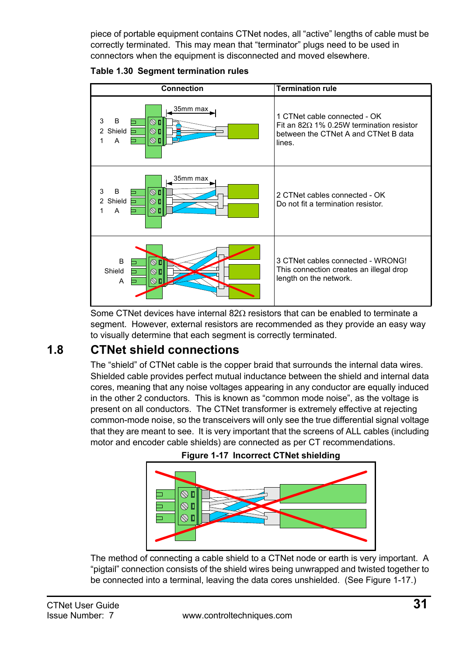piece of portable equipment contains CTNet nodes, all "active" lengths of cable must be correctly terminated. This may mean that "terminator" plugs need to be used in connectors when the equipment is disconnected and moved elsewhere.





<span id="page-30-2"></span>Some CTNet devices have internal 82Ω resistors that can be enabled to terminate a segment. However, external resistors are recommended as they provide an easy way to visually determine that each segment is correctly terminated.

## <span id="page-30-0"></span>**1.8 CTNet shield connections**

The "shield" of CTNet cable is the copper braid that surrounds the internal data wires. Shielded cable provides perfect mutual inductance between the shield and internal data cores, meaning that any noise voltages appearing in any conductor are equally induced in the other 2 conductors. This is known as "common mode noise", as the voltage is present on all conductors. The CTNet transformer is extremely effective at rejecting common-mode noise, so the transceivers will only see the true differential signal voltage that they are meant to see. It is very important that the screens of ALL cables (including motor and encoder cable shields) are connected as per CT recommendations.

<span id="page-30-1"></span>



The method of connecting a cable shield to a CTNet node or earth is very important. A "pigtail" connection consists of the shield wires being unwrapped and twisted together to be connected into a terminal, leaving the data cores unshielded. (See [Figure 1-17.](#page-30-1))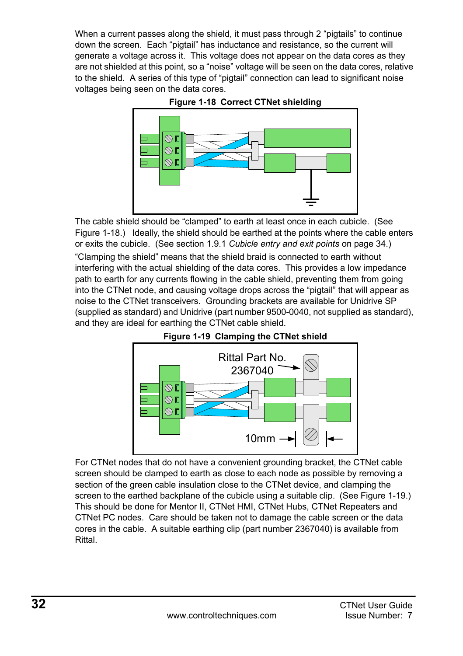When a current passes along the shield, it must pass through 2 "pigtails" to continue down the screen. Each "pigtail" has inductance and resistance, so the current will generate a voltage across it. This voltage does not appear on the data cores as they are not shielded at this point, so a "noise" voltage will be seen on the data cores, relative to the shield. A series of this type of "pigtail" connection can lead to significant noise voltages being seen on the data cores.





The cable shield should be "clamped" to earth at least once in each cubicle. (See Figure 1-18.) Ideally, the shield should be earthed at the points where the cable enters or exits the cubicle. (See section 1.9.1 *[Cubicle entry and exit points](#page-33-0)* on page 34.)

"Clamping the shield" means that the shield braid is connected to earth without interfering with the actual shielding of the data cores. This provides a low impedance path to earth for any currents flowing in the cable shield, preventing them from going into the CTNet node, and causing voltage drops across the "pigtail" that will appear as noise to the CTNet transceivers. Grounding brackets are available for Unidrive SP (supplied as standard) and Unidrive (part number 9500-0040, not supplied as standard), and they are ideal for earthing the CTNet cable shield.



For CTNet nodes that do not have a convenient grounding bracket, the CTNet cable screen should be clamped to earth as close to each node as possible by removing a section of the green cable insulation close to the CTNet device, and clamping the screen to the earthed backplane of the cubicle using a suitable clip. (See Figure 1-19.) This should be done for Mentor II, CTNet HMI, CTNet Hubs, CTNet Repeaters and CTNet PC nodes. Care should be taken not to damage the cable screen or the data cores in the cable. A suitable earthing clip (part number 2367040) is available from Rittal.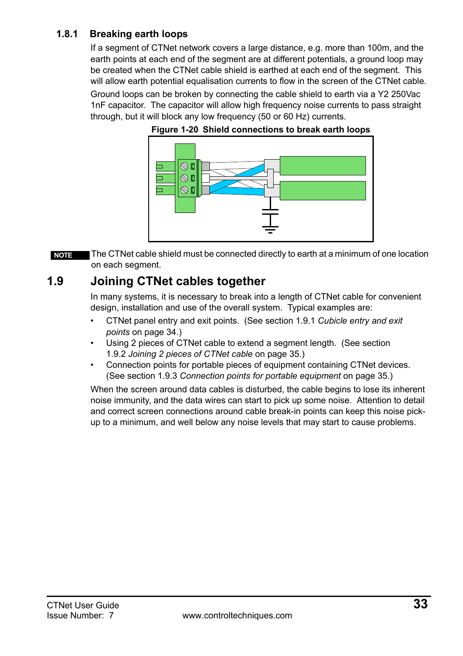### **1.8.1 Breaking earth loops**

If a segment of CTNet network covers a large distance, e.g. more than 100m, and the earth points at each end of the segment are at different potentials, a ground loop may be created when the CTNet cable shield is earthed at each end of the segment. This will allow earth potential equalisation currents to flow in the screen of the CTNet cable.

Ground loops can be broken by connecting the cable shield to earth via a Y2 250Vac 1nF capacitor. The capacitor will allow high frequency noise currents to pass straight through, but it will block any low frequency (50 or 60 Hz) currents.





The CTNet cable shield must be connected directly to earth at a minimum of one location on each segment. **NOTE**

## <span id="page-32-0"></span>**1.9 Joining CTNet cables together**

In many systems, it is necessary to break into a length of CTNet cable for convenient design, installation and use of the overall system. Typical examples are:

- CTNet panel entry and exit points. (See section 1.9.1 *[Cubicle entry and exit](#page-33-0)  points* [on page 34.](#page-33-0))
- Using 2 pieces of CTNet cable to extend a segment length. (See [section](#page-34-2)  1.9.2 *[Joining 2 pieces of CTNet cable](#page-34-2)* on page 35.)
- Connection points for portable pieces of equipment containing CTNet devices. (See section 1.9.3 *[Connection points for portable equipment](#page-34-1)* on page 35.)

When the screen around data cables is disturbed, the cable begins to lose its inherent noise immunity, and the data wires can start to pick up some noise. Attention to detail and correct screen connections around cable break-in points can keep this noise pickup to a minimum, and well below any noise levels that may start to cause problems.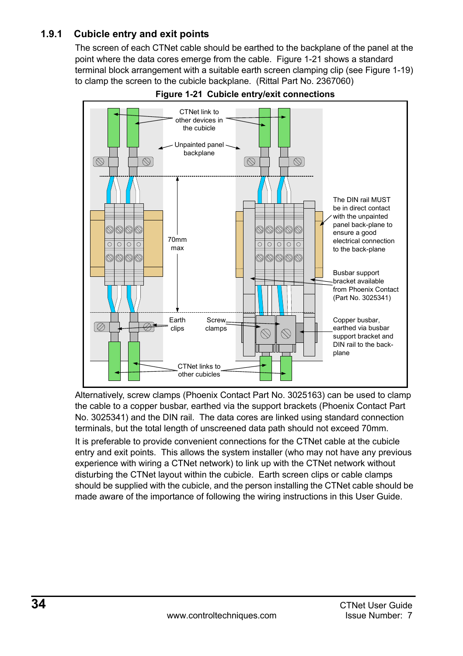### <span id="page-33-0"></span>**1.9.1 Cubicle entry and exit points**

The screen of each CTNet cable should be earthed to the backplane of the panel at the point where the data cores emerge from the cable. Figure 1-21 shows a standard terminal block arrangement with a suitable earth screen clamping clip (see Figure 1-19) to clamp the screen to the cubicle backplane. (Rittal Part No. 2367060)



**Figure 1-21 Cubicle entry/exit connections**

Alternatively, screw clamps (Phoenix Contact Part No. 3025163) can be used to clamp the cable to a copper busbar, earthed via the support brackets (Phoenix Contact Part No. 3025341) and the DIN rail. The data cores are linked using standard connection terminals, but the total length of unscreened data path should not exceed 70mm.

It is preferable to provide convenient connections for the CTNet cable at the cubicle entry and exit points. This allows the system installer (who may not have any previous experience with wiring a CTNet network) to link up with the CTNet network without disturbing the CTNet layout within the cubicle. Earth screen clips or cable clamps should be supplied with the cubicle, and the person installing the CTNet cable should be made aware of the importance of following the wiring instructions in this User Guide.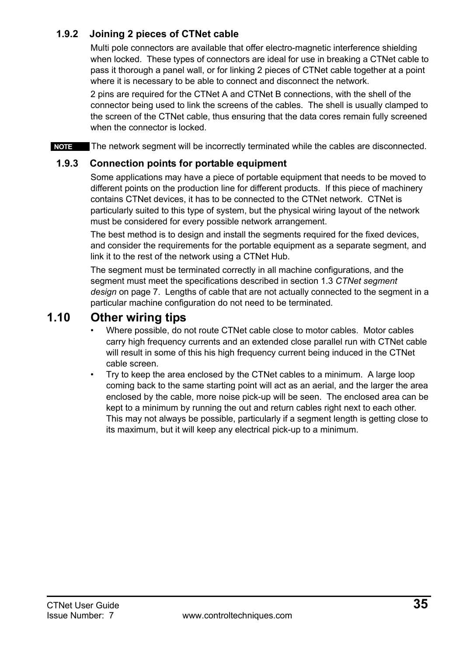### <span id="page-34-2"></span>**1.9.2 Joining 2 pieces of CTNet cable**

Multi pole connectors are available that offer electro-magnetic interference shielding when locked. These types of connectors are ideal for use in breaking a CTNet cable to pass it thorough a panel wall, or for linking 2 pieces of CTNet cable together at a point where it is necessary to be able to connect and disconnect the network.

2 pins are required for the CTNet A and CTNet B connections, with the shell of the connector being used to link the screens of the cables. The shell is usually clamped to the screen of the CTNet cable, thus ensuring that the data cores remain fully screened when the connector is locked.

**NOTE** The network segment will be incorrectly terminated while the cables are disconnected.

### <span id="page-34-1"></span>**1.9.3 Connection points for portable equipment**

Some applications may have a piece of portable equipment that needs to be moved to different points on the production line for different products. If this piece of machinery contains CTNet devices, it has to be connected to the CTNet network. CTNet is particularly suited to this type of system, but the physical wiring layout of the network must be considered for every possible network arrangement.

The best method is to design and install the segments required for the fixed devices, and consider the requirements for the portable equipment as a separate segment, and link it to the rest of the network using a CTNet Hub.

The segment must be terminated correctly in all machine configurations, and the segment must meet the specifications described in section 1.3 *[CTNet segment](#page-6-0)  design* [on page 7](#page-6-0). Lengths of cable that are not actually connected to the segment in a particular machine configuration do not need to be terminated.

## <span id="page-34-0"></span>**1.10 Other wiring tips**

- <span id="page-34-3"></span>• Where possible, do not route CTNet cable close to motor cables. Motor cables carry high frequency currents and an extended close parallel run with CTNet cable will result in some of this his high frequency current being induced in the CTNet cable screen.
- Try to keep the area enclosed by the CTNet cables to a minimum. A large loop coming back to the same starting point will act as an aerial, and the larger the area enclosed by the cable, more noise pick-up will be seen. The enclosed area can be kept to a minimum by running the out and return cables right next to each other. This may not always be possible, particularly if a segment length is getting close to its maximum, but it will keep any electrical pick-up to a minimum.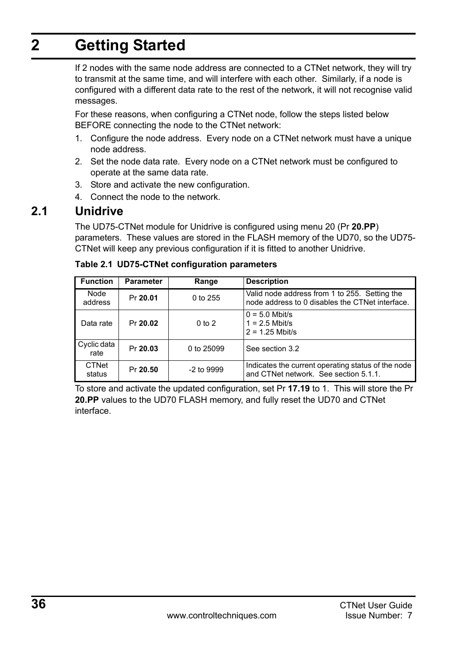# <span id="page-35-0"></span>**2 Getting Started**

<span id="page-35-2"></span>If 2 nodes with the same node address are connected to a CTNet network, they will try to transmit at the same time, and will interfere with each other. Similarly, if a node is configured with a different data rate to the rest of the network, it will not recognise valid messages.

For these reasons, when configuring a CTNet node, follow the steps listed below BEFORE connecting the node to the CTNet network:

- 1. Configure the node address. Every node on a CTNet network must have a unique node address.
- 2. Set the node data rate. Every node on a CTNet network must be configured to operate at the same data rate.
- 3. Store and activate the new configuration.
- 4. Connect the node to the network.

## <span id="page-35-1"></span>**2.1 Unidrive**

The UD75-CTNet module for Unidrive is configured using menu 20 (Pr **20.PP**) parameters. These values are stored in the FLASH memory of the UD70, so the UD75- CTNet will keep any previous configuration if it is fitted to another Unidrive.

| <b>Function</b>     | Parameter | Range        | <b>Description</b>                                                                               |
|---------------------|-----------|--------------|--------------------------------------------------------------------------------------------------|
| Node<br>address     | Pr 20.01  | 0 to 255     | Valid node address from 1 to 255. Setting the<br>node address to 0 disables the CTNet interface. |
| Data rate           | Pr 20.02  | $0$ to $2$   | $0 = 5.0$ Mbit/s<br>$1 = 2.5$ Mbit/s<br>$2 = 1.25$ Mbit/s                                        |
| Cyclic data<br>rate | Pr 20.03  | 0 to 25099   | See section 3.2                                                                                  |
| CTNet<br>status     | Pr 20.50  | $-2$ to 9999 | Indicates the current operating status of the node<br>and CTNet network. See section 5.1.1.      |

#### **Table 2.1 UD75-CTNet configuration parameters**

To store and activate the updated configuration, set Pr **17.19** to 1. This will store the Pr **20.PP** values to the UD70 FLASH memory, and fully reset the UD70 and CTNet interface.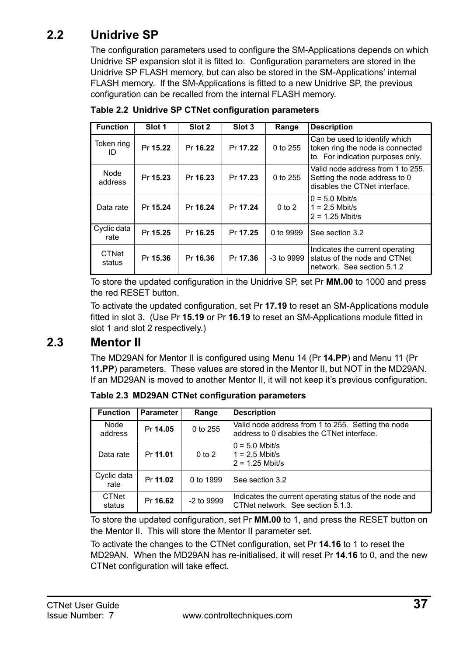## <span id="page-36-0"></span>**2.2 Unidrive SP**

The configuration parameters used to configure the SM-Applications depends on which Unidrive SP expansion slot it is fitted to. Configuration parameters are stored in the Unidrive SP FLASH memory, but can also be stored in the SM-Applications' internal FLASH memory. If the SM-Applications is fitted to a new Unidrive SP, the previous configuration can be recalled from the internal FLASH memory.

| <b>Function</b>        | Slot 1   | Slot 2   | Slot 3   | Range        | <b>Description</b>                                                                                     |
|------------------------|----------|----------|----------|--------------|--------------------------------------------------------------------------------------------------------|
| Token ring<br>ID       | Pr 15.22 | Pr 16.22 | Pr 17.22 | 0 to 255     | Can be used to identify which<br>token ring the node is connected<br>to. For indication purposes only. |
| Node<br>address        | Pr 15.23 | Pr 16.23 | Pr 17.23 | 0 to 255     | Valid node address from 1 to 255.<br>Setting the node address to 0<br>disables the CTNet interface.    |
| Data rate              | Pr 15.24 | Pr 16.24 | Pr 17.24 | $0$ to $2$   | $0 = 5.0$ Mbit/s<br>$1 = 2.5$ Mbit/s<br>$2 = 1.25$ Mbit/s                                              |
| Cyclic data<br>rate    | Pr 15.25 | Pr 16.25 | Pr 17.25 | 0 to 9999    | See section 3.2                                                                                        |
| <b>CTNet</b><br>status | Pr 15.36 | Pr 16.36 | Pr 17.36 | $-3$ to 9999 | Indicates the current operating<br>status of the node and CTNet<br>network. See section 5.1.2          |

**Table 2.2 Unidrive SP CTNet configuration parameters**

To store the updated configuration in the Unidrive SP, set Pr **MM.00** to 1000 and press the red RESET button.

To activate the updated configuration, set Pr **17.19** to reset an SM-Applications module fitted in slot 3. (Use Pr **15.19** or Pr **16.19** to reset an SM-Applications module fitted in slot 1 and slot 2 respectively.)

## <span id="page-36-1"></span>**2.3 Mentor II**

The MD29AN for Mentor II is configured using Menu 14 (Pr **14.PP**) and Menu 11 (Pr **11.PP**) parameters. These values are stored in the Mentor II, but NOT in the MD29AN. If an MD29AN is moved to another Mentor II, it will not keep it's previous configuration.

| <b>Function</b>        | <b>Parameter</b> | Range        | <b>Description</b>                                                                               |
|------------------------|------------------|--------------|--------------------------------------------------------------------------------------------------|
| Node<br>address        | Pr 14.05         | 0 to 255     | Valid node address from 1 to 255. Setting the node<br>address to 0 disables the CTNet interface. |
| Data rate              | Pr 11.01         | $0$ to $2$   | $0 = 5.0$ Mbit/s<br>$1 = 2.5$ Mbit/s<br>$2 = 1.25$ Mbit/s                                        |
| Cyclic data<br>rate    | Pr 11.02         | 0 to 1999    | See section 3.2                                                                                  |
| <b>CTNet</b><br>status | Pr 16.62         | $-2$ to 9999 | Indicates the current operating status of the node and<br>CTNet network. See section 5.1.3.      |

**Table 2.3 MD29AN CTNet configuration parameters**

To store the updated configuration, set Pr **MM.00** to 1, and press the RESET button on the Mentor II. This will store the Mentor II parameter set.

To activate the changes to the CTNet configuration, set Pr **14.16** to 1 to reset the MD29AN. When the MD29AN has re-initialised, it will reset Pr **14.16** to 0, and the new CTNet configuration will take effect.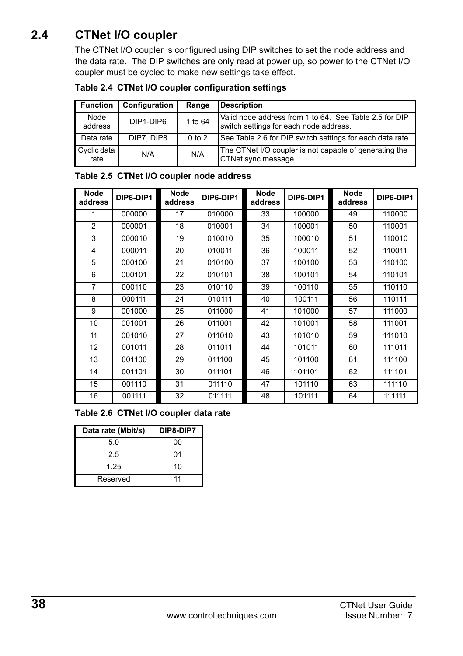## <span id="page-37-0"></span>**2.4 CTNet I/O coupler**

The CTNet I/O coupler is configured using DIP switches to set the node address and the data rate. The DIP switches are only read at power up, so power to the CTNet I/O coupler must be cycled to make new settings take effect.

| Table 2.4 CTNet I/O coupler configuration settings |  |  |  |  |  |
|----------------------------------------------------|--|--|--|--|--|
|----------------------------------------------------|--|--|--|--|--|

| <b>Function</b>     | Configuration | Range      | <b>Description</b>                                                                               |
|---------------------|---------------|------------|--------------------------------------------------------------------------------------------------|
| Node<br>address     | DIP1-DIP6     | 1 to 64    | Valid node address from 1 to 64. See Table 2.5 for DIP<br>switch settings for each node address. |
| Data rate           | DIP7, DIP8    | $0$ to $2$ | See Table 2.6 for DIP switch settings for each data rate.                                        |
| Cyclic data<br>rate | N/A           | N/A        | The CTNet I/O coupler is not capable of generating the<br>CTNet sync message.                    |

| Node<br>address | DIP6-DIP1 | Node<br>address | DIP6-DIP1 | Node<br>address | DIP6-DIP1 | Node<br>address | DIP6-DIP1 |
|-----------------|-----------|-----------------|-----------|-----------------|-----------|-----------------|-----------|
| 1               | 000000    | 17              | 010000    | 33              | 100000    | 49              | 110000    |
| $\overline{2}$  | 000001    | 18              | 010001    | 34              | 100001    | 50              | 110001    |
| 3               | 000010    | 19              | 010010    | 35              | 100010    | 51              | 110010    |
| 4               | 000011    | 20              | 010011    | 36              | 100011    | 52              | 110011    |
| 5               | 000100    | 21              | 010100    | 37              | 100100    | 53              | 110100    |
| 6               | 000101    | 22              | 010101    | 38              | 100101    | 54              | 110101    |
| $\overline{7}$  | 000110    | 23              | 010110    | 39              | 100110    | 55              | 110110    |
| 8               | 000111    | 24              | 010111    | 40              | 100111    | 56              | 110111    |
| 9               | 001000    | 25              | 011000    | 41              | 101000    | 57              | 111000    |
| 10              | 001001    | 26              | 011001    | 42              | 101001    | 58              | 111001    |
| 11              | 001010    | 27              | 011010    | 43              | 101010    | 59              | 111010    |
| 12              | 001011    | 28              | 011011    | 44              | 101011    | 60              | 111011    |
| 13              | 001100    | 29              | 011100    | 45              | 101100    | 61              | 111100    |
| 14              | 001101    | 30              | 011101    | 46              | 101101    | 62              | 111101    |
| 15              | 001110    | 31              | 011110    | 47              | 101110    | 63              | 111110    |
| 16              | 001111    | 32              | 011111    | 48              | 101111    | 64              | 111111    |

#### **Table 2.5 CTNet I/O coupler node address**

**Table 2.6 CTNet I/O coupler data rate**

| Data rate (Mbit/s) | DIP8-DIP7 |
|--------------------|-----------|
| 5.0                | 00        |
| 2.5                | 01        |
| 1.25               | 10        |
| Reserved           | 11        |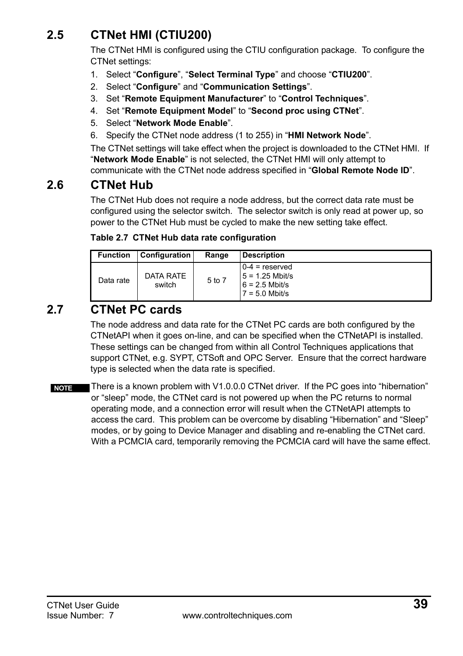## <span id="page-38-0"></span>**2.5 CTNet HMI (CTIU200)**

The CTNet HMI is configured using the CTIU configuration package. To configure the CTNet settings:

- 1. Select "**Configure**", "**Select Terminal Type**" and choose "**CTIU200**".
- 2. Select "**Configure**" and "**Communication Settings**".
- 3. Set "**Remote Equipment Manufacturer**" to "**Control Techniques**".
- 4. Set "**Remote Equipment Model**" to "**Second proc using CTNet**".
- 5. Select "**Network Mode Enable**".
- 6. Specify the CTNet node address (1 to 255) in "**HMI Network Node**".

The CTNet settings will take effect when the project is downloaded to the CTNet HMI. If "**Network Mode Enable**" is not selected, the CTNet HMI will only attempt to communicate with the CTNet node address specified in "**Global Remote Node ID**".

### <span id="page-38-1"></span>**2.6 CTNet Hub**

The CTNet Hub does not require a node address, but the correct data rate must be configured using the selector switch. The selector switch is only read at power up, so power to the CTNet Hub must be cycled to make the new setting take effect.

|  |  |  | Table 2.7 CTNet Hub data rate configuration |
|--|--|--|---------------------------------------------|
|--|--|--|---------------------------------------------|

| <b>Function</b> | Configuration       | Range  | <b>Description</b>                                                            |
|-----------------|---------------------|--------|-------------------------------------------------------------------------------|
| Data rate       | DATA RATE<br>switch | 5 to 7 | $0-4$ = reserved<br>$5 = 1.25$ Mbit/s<br>$6 = 2.5$ Mbit/s<br>$7 = 5.0$ Mbit/s |

## <span id="page-38-2"></span>**2.7 CTNet PC cards**

The node address and data rate for the CTNet PC cards are both configured by the CTNetAPI when it goes on-line, and can be specified when the CTNetAPI is installed. These settings can be changed from within all Control Techniques applications that support CTNet, e.g. SYPT, CTSoft and OPC Server. Ensure that the correct hardware type is selected when the data rate is specified.

There is a known problem with V1.0.0.0 CTNet driver. If the PC goes into "hibernation" or "sleep" mode, the CTNet card is not powered up when the PC returns to normal operating mode, and a connection error will result when the CTNetAPI attempts to access the card. This problem can be overcome by disabling "Hibernation" and "Sleep" modes, or by going to Device Manager and disabling and re-enabling the CTNet card. With a PCMCIA card, temporarily removing the PCMCIA card will have the same effect. **NOTE**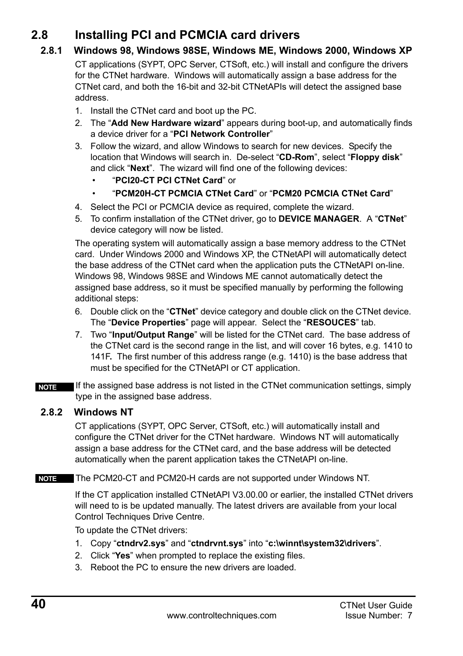## <span id="page-39-0"></span>**2.8 Installing PCI and PCMCIA card drivers**

### **2.8.1 Windows 98, Windows 98SE, Windows ME, Windows 2000, Windows XP**

CT applications (SYPT, OPC Server, CTSoft, etc.) will install and configure the drivers for the CTNet hardware. Windows will automatically assign a base address for the CTNet card, and both the 16-bit and 32-bit CTNetAPIs will detect the assigned base address.

- 1. Install the CTNet card and boot up the PC.
- 2. The "**Add New Hardware wizard**" appears during boot-up, and automatically finds a device driver for a "**PCI Network Controller**"
- 3. Follow the wizard, and allow Windows to search for new devices. Specify the location that Windows will search in. De-select "**CD-Rom**", select "**Floppy disk**" and click "**Next**". The wizard will find one of the following devices:
	- "**PCI20-CT PCI CTNet Card**" or
	- "**PCM20H-CT PCMCIA CTNet Card**" or "**PCM20 PCMCIA CTNet Card**"
- 4. Select the PCI or PCMCIA device as required, complete the wizard.
- 5. To confirm installation of the CTNet driver, go to **DEVICE MANAGER**. A "**CTNet**" device category will now be listed.

The operating system will automatically assign a base memory address to the CTNet card. Under Windows 2000 and Windows XP, the CTNetAPI will automatically detect the base address of the CTNet card when the application puts the CTNetAPI on-line. Windows 98, Windows 98SE and Windows ME cannot automatically detect the assigned base address, so it must be specified manually by performing the following additional steps:

- 6. Double click on the "**CTNet**" device category and double click on the CTNet device. The "**Device Properties**" page will appear. Select the "**RESOUCES**" tab.
- 7. Two "**Input/Output Range**" will be listed for the CTNet card. The base address of the CTNet card is the second range in the list, and will cover 16 bytes, e.g. 1410 to 141F**.** The first number of this address range (e.g. 1410) is the base address that must be specified for the CTNetAPI or CT application.

If the assigned base address is not listed in the CTNet communication settings, simply type in the assigned base address. **NOTE**

### **2.8.2 Windows NT**

CT applications (SYPT, OPC Server, CTSoft, etc.) will automatically install and configure the CTNet driver for the CTNet hardware. Windows NT will automatically assign a base address for the CTNet card, and the base address will be detected automatically when the parent application takes the CTNetAPI on-line.

#### **NOTE** The PCM20-CT and PCM20-H cards are not supported under Windows NT.

If the CT application installed CTNetAPI V3.00.00 or earlier, the installed CTNet drivers will need to is be updated manually. The latest drivers are available from your local Control Techniques Drive Centre.

To update the CTNet drivers:

- 1. Copy "**ctndrv2.sys**" and "**ctndrvnt.sys**" into "**c:\winnt\system32\drivers**".
- 2. Click "**Yes**" when prompted to replace the existing files.
- 3. Reboot the PC to ensure the new drivers are loaded.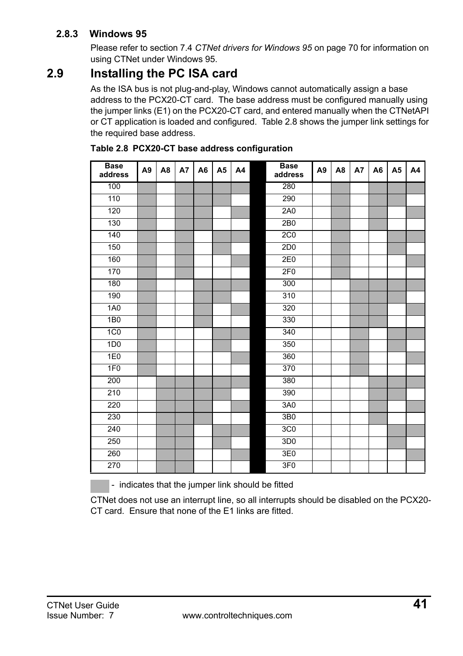### **2.8.3 Windows 95**

Please refer to section 7.4 *[CTNet drivers for Windows 95](#page-69-1)* on page 70 for information on using CTNet under Windows 95.

## <span id="page-40-0"></span>**2.9 Installing the PC ISA card**

As the ISA bus is not plug-and-play, Windows cannot automatically assign a base address to the PCX20-CT card. The base address must be configured manually using the jumper links (E1) on the PCX20-CT card, and entered manually when the CTNetAPI or CT application is loaded and configured. [Table 2.8](#page-40-1) shows the jumper link settings for the required base address.

| <b>Base</b><br>address | A <sub>9</sub> | A <sub>8</sub> | A7 | A <sub>6</sub> | A <sub>5</sub> | A4 | <b>Base</b><br>address | A <sub>9</sub> | A <sub>8</sub> | A7 | A <sub>6</sub> | A <sub>5</sub> | A4 |
|------------------------|----------------|----------------|----|----------------|----------------|----|------------------------|----------------|----------------|----|----------------|----------------|----|
| 100                    |                |                |    |                |                |    | 280                    |                |                |    |                |                |    |
| 110                    |                |                |    |                |                |    | 290                    |                |                |    |                |                |    |
| 120                    |                |                |    |                |                |    | 2A0                    |                |                |    |                |                |    |
| 130                    |                |                |    |                |                |    | 2B0                    |                |                |    |                |                |    |
| 140                    |                |                |    |                |                |    | 2C <sub>0</sub>        |                |                |    |                |                |    |
| 150                    |                |                |    |                |                |    | 2D <sub>0</sub>        |                |                |    |                |                |    |
| 160                    |                |                |    |                |                |    | 2E0                    |                |                |    |                |                |    |
| 170                    |                |                |    |                |                |    | 2F <sub>0</sub>        |                |                |    |                |                |    |
| 180                    |                |                |    |                |                |    | 300                    |                |                |    |                |                |    |
| 190                    |                |                |    |                |                |    | 310                    |                |                |    |                |                |    |
| <b>1A0</b>             |                |                |    |                |                |    | 320                    |                |                |    |                |                |    |
| 1B0                    |                |                |    |                |                |    | 330                    |                |                |    |                |                |    |
| 1C <sub>0</sub>        |                |                |    |                |                |    | 340                    |                |                |    |                |                |    |
| 1D <sub>0</sub>        |                |                |    |                |                |    | 350                    |                |                |    |                |                |    |
| 1E0                    |                |                |    |                |                |    | 360                    |                |                |    |                |                |    |
| 1F <sub>0</sub>        |                |                |    |                |                |    | 370                    |                |                |    |                |                |    |
| 200                    |                |                |    |                |                |    | 380                    |                |                |    |                |                |    |
| 210                    |                |                |    |                |                |    | 390                    |                |                |    |                |                |    |
| 220                    |                |                |    |                |                |    | 3A0                    |                |                |    |                |                |    |
| 230                    |                |                |    |                |                |    | 3B0                    |                |                |    |                |                |    |
| 240                    |                |                |    |                |                |    | 3C <sub>0</sub>        |                |                |    |                |                |    |
| 250                    |                |                |    |                |                |    | 3D <sub>0</sub>        |                |                |    |                |                |    |
| 260                    |                |                |    |                |                |    | 3E0                    |                |                |    |                |                |    |
| 270                    |                |                |    |                |                |    | 3F <sub>0</sub>        |                |                |    |                |                |    |

<span id="page-40-1"></span>

| Table 2.8 PCX20-CT base address configuration |
|-----------------------------------------------|
|-----------------------------------------------|

- indicates that the jumper link should be fitted

CTNet does not use an interrupt line, so all interrupts should be disabled on the PCX20- CT card. Ensure that none of the E1 links are fitted.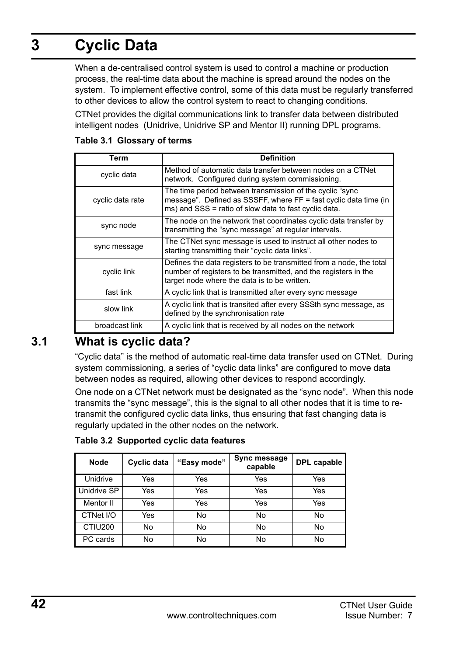# <span id="page-41-0"></span>**3 Cyclic Data**

When a de-centralised control system is used to control a machine or production process, the real-time data about the machine is spread around the nodes on the system. To implement effective control, some of this data must be regularly transferred to other devices to allow the control system to react to changing conditions.

CTNet provides the digital communications link to transfer data between distributed intelligent nodes (Unidrive, Unidrive SP and Mentor II) running DPL programs.

| Term             | <b>Definition</b>                                                                                                                                                                      |
|------------------|----------------------------------------------------------------------------------------------------------------------------------------------------------------------------------------|
| cyclic data      | Method of automatic data transfer between nodes on a CTNet<br>network. Configured during system commissioning.                                                                         |
| cyclic data rate | The time period between transmission of the cyclic "sync<br>message". Defined as SSSFF, where FF = fast cyclic data time (in<br>ms) and SSS = ratio of slow data to fast cyclic data.  |
| sync node        | The node on the network that coordinates cyclic data transfer by<br>transmitting the "sync message" at regular intervals.                                                              |
| sync message     | The CTNet sync message is used to instruct all other nodes to<br>starting transmitting their "cyclic data links".                                                                      |
| cyclic link      | Defines the data registers to be transmitted from a node, the total<br>number of registers to be transmitted, and the registers in the<br>target node where the data is to be written. |
| fast link        | A cyclic link that is transmitted after every sync message                                                                                                                             |
| slow link        | A cyclic link that is transited after every SSSth sync message, as<br>defined by the synchronisation rate                                                                              |
| broadcast link   | A cyclic link that is received by all nodes on the network                                                                                                                             |

#### **Table 3.1 Glossary of terms**

## <span id="page-41-1"></span>**3.1 What is cyclic data?**

"Cyclic data" is the method of automatic real-time data transfer used on CTNet. During system commissioning, a series of "cyclic data links" are configured to move data between nodes as required, allowing other devices to respond accordingly.

One node on a CTNet network must be designated as the "sync node". When this node transmits the "sync message", this is the signal to all other nodes that it is time to retransmit the configured cyclic data links, thus ensuring that fast changing data is regularly updated in the other nodes on the network.

**Table 3.2 Supported cyclic data features**

| Node                | Cyclic data | "Easy mode" | Sync message<br>capable | DPL capable |
|---------------------|-------------|-------------|-------------------------|-------------|
| Unidrive            | Yes         | Yes         | Yes                     | Yes         |
| Unidrive SP         | Yes         | Yes         | Yes                     | Yes         |
| Mentor II           | Yes         | Yes         | Yes                     | Yes         |
| CTNet I/O           | Yes         | No          | No                      | No          |
| CTIU <sub>200</sub> | No          | No          | No                      | No          |
| PC cards            | No          | No          | No                      | No          |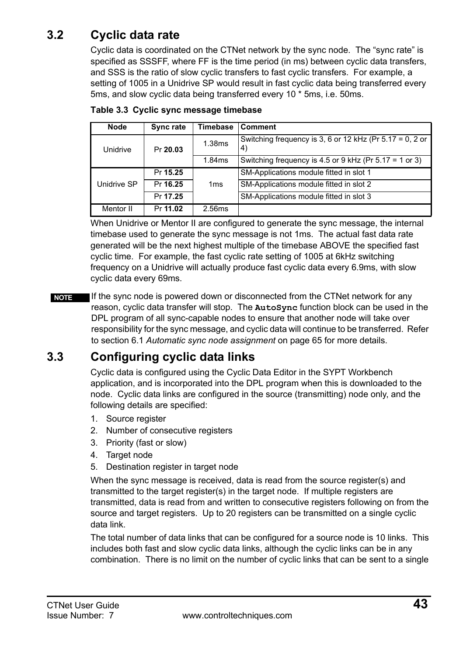## <span id="page-42-0"></span>**3.2 Cyclic data rate**

<span id="page-42-2"></span>Cyclic data is coordinated on the CTNet network by the sync node. The "sync rate" is specified as SSSFF, where FF is the time period (in ms) between cyclic data transfers, and SSS is the ratio of slow cyclic transfers to fast cyclic transfers. For example, a setting of 1005 in a Unidrive SP would result in fast cyclic data being transferred every 5ms, and slow cyclic data being transferred every 10 \* 5ms, i.e. 50ms.

| Node        | Sync rate | Timebase        | Comment                                                           |
|-------------|-----------|-----------------|-------------------------------------------------------------------|
| Unidrive    | Pr 20.03  | 1.38ms          | Switching frequency is 3, 6 or 12 kHz (Pr $5.17 = 0$ , 2 or<br>4) |
|             |           | 1.84ms          | Switching frequency is 4.5 or 9 kHz (Pr $5.17 = 1$ or 3)          |
|             | Pr 15.25  |                 | SM-Applications module fitted in slot 1                           |
| Unidrive SP | Pr 16.25  | 1 <sub>ms</sub> | SM-Applications module fitted in slot 2                           |
|             | Pr 17.25  |                 | SM-Applications module fitted in slot 3                           |
| Mentor II   | Pr 11.02  | 2.56ms          |                                                                   |

**Table 3.3 Cyclic sync message timebase**

When Unidrive or Mentor II are configured to generate the sync message, the internal timebase used to generate the sync message is not 1ms. The actual fast data rate generated will be the next highest multiple of the timebase ABOVE the specified fast cyclic time. For example, the fast cyclic rate setting of 1005 at 6kHz switching frequency on a Unidrive will actually produce fast cyclic data every 6.9ms, with slow cyclic data every 69ms.

If the sync node is powered down or disconnected from the CTNet network for any reason, cyclic data transfer will stop. The **AutoSync** function block can be used in the DPL program of all sync-capable nodes to ensure that another node will take over responsibility for the sync message, and cyclic data will continue to be transferred. Refer to section 6.1 *[Automatic sync node assignment](#page-64-4)* on page 65 for more details. **NOTE**

## <span id="page-42-1"></span>**3.3 Configuring cyclic data links**

Cyclic data is configured using the Cyclic Data Editor in the SYPT Workbench application, and is incorporated into the DPL program when this is downloaded to the node. Cyclic data links are configured in the source (transmitting) node only, and the following details are specified:

- 1. Source register
- 2. Number of consecutive registers
- 3. Priority (fast or slow)
- 4. Target node
- 5. Destination register in target node

When the sync message is received, data is read from the source register(s) and transmitted to the target register(s) in the target node. If multiple registers are transmitted, data is read from and written to consecutive registers following on from the source and target registers. Up to 20 registers can be transmitted on a single cyclic data link.

The total number of data links that can be configured for a source node is 10 links. This includes both fast and slow cyclic data links, although the cyclic links can be in any combination. There is no limit on the number of cyclic links that can be sent to a single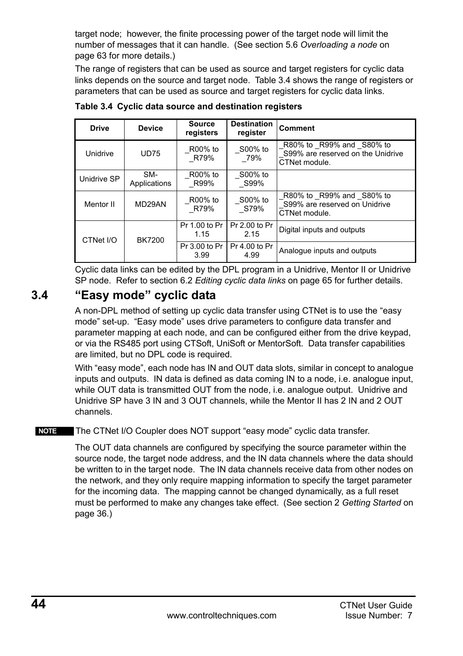target node; however, the finite processing power of the target node will limit the number of messages that it can handle. (See section 5.6 *[Overloading a node](#page-62-1)* on [page 63](#page-62-1) for more details.)

The range of registers that can be used as source and target registers for cyclic data links depends on the source and target node. [Table 3.4](#page-43-1) shows the range of registers or parameters that can be used as source and target registers for cyclic data links.

| <b>Drive</b> | <b>Device</b>       | Source<br>registers   | <b>Destination</b><br>register | Comment                                                                        |  |
|--------------|---------------------|-----------------------|--------------------------------|--------------------------------------------------------------------------------|--|
| Unidrive     | <b>UD75</b>         | R00% to<br>R79%       | S00% to<br>79%                 | R80% to R99% and S80% to<br>S99% are reserved on the Unidrive<br>CTNet module. |  |
| Unidrive SP  | SM-<br>Applications | R00% to<br>R99%       | S00% to<br>S99%                |                                                                                |  |
| Mentor II    | MD29AN              | R00% to<br>R79%       | S00% to<br>S79%                | R80% to R99% and S80% to<br>S99% are reserved on Unidrive<br>CTNet module.     |  |
| CTNet I/O    | BK7200              | Pr 1.00 to Pr<br>1.15 | Pr 2.00 to Pr<br>2.15          | Digital inputs and outputs                                                     |  |
|              |                     | Pr 3.00 to Pr<br>3.99 | Pr 4.00 to Pr<br>4.99          | Analoque inputs and outputs                                                    |  |

<span id="page-43-1"></span>**Table 3.4 Cyclic data source and destination registers**

Cyclic data links can be edited by the DPL program in a Unidrive, Mentor II or Unidrive SP node. Refer to section 6.2 *[Editing cyclic data links](#page-64-5)* on page 65 for further details.

## <span id="page-43-0"></span>**3.4 "Easy mode" cyclic data**

A non-DPL method of setting up cyclic data transfer using CTNet is to use the "easy mode" set-up. "Easy mode" uses drive parameters to configure data transfer and parameter mapping at each node, and can be configured either from the drive keypad, or via the RS485 port using CTSoft, UniSoft or MentorSoft. Data transfer capabilities are limited, but no DPL code is required.

With "easy mode", each node has IN and OUT data slots, similar in concept to analogue inputs and outputs. IN data is defined as data coming IN to a node, i.e. analogue input, while OUT data is transmitted OUT from the node, i.e. analogue output. Unidrive and Unidrive SP have 3 IN and 3 OUT channels, while the Mentor II has 2 IN and 2 OUT channels.

**NOTE** The CTNet I/O Coupler does NOT support "easy mode" cyclic data transfer.

The OUT data channels are configured by specifying the source parameter within the source node, the target node address, and the IN data channels where the data should be written to in the target node. The IN data channels receive data from other nodes on the network, and they only require mapping information to specify the target parameter for the incoming data. The mapping cannot be changed dynamically, as a full reset must be performed to make any changes take effect. (See section 2 *[Getting Started](#page-35-2)* on [page 36.](#page-35-2))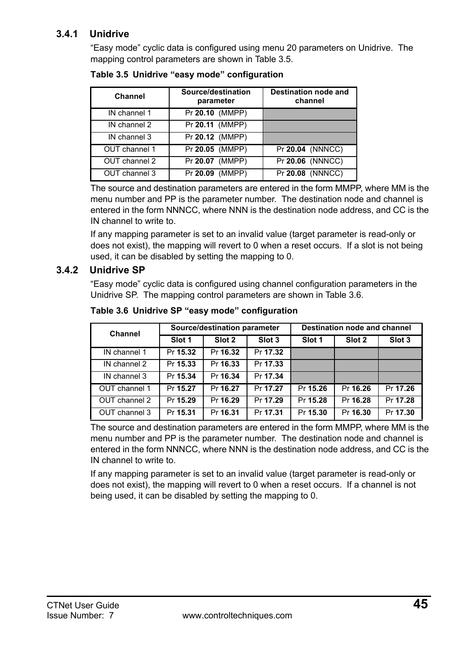### **3.4.1 Unidrive**

"Easy mode" cyclic data is configured using menu 20 parameters on Unidrive. The mapping control parameters are shown in [Table 3.5.](#page-44-0)

| Channel       | Source/destination<br><b>Destination node and</b><br>channel<br>parameter |                    |
|---------------|---------------------------------------------------------------------------|--------------------|
| IN channel 1  | Pr 20.10 (MMPP)                                                           |                    |
| IN channel 2  | Pr 20.11 (MMPP)                                                           |                    |
| IN channel 3  | Pr 20.12 (MMPP)                                                           |                    |
| OUT channel 1 | Pr 20.05 (MMPP)                                                           | $Pr$ 20.04 (NNNCC) |
| OUT channel 2 | Pr 20.07 (MMPP)                                                           | Pr 20.06 (NNNCC)   |
| OUT channel 3 | Pr 20.09 (MMPP)                                                           | Pr 20.08 (NNNCC)   |

<span id="page-44-0"></span>**Table 3.5 Unidrive "easy mode" configuration**

The source and destination parameters are entered in the form MMPP, where MM is the menu number and PP is the parameter number. The destination node and channel is entered in the form NNNCC, where NNN is the destination node address, and CC is the IN channel to write to.

If any mapping parameter is set to an invalid value (target parameter is read-only or does not exist), the mapping will revert to 0 when a reset occurs. If a slot is not being used, it can be disabled by setting the mapping to 0.

### **3.4.2 Unidrive SP**

"Easy mode" cyclic data is configured using channel configuration parameters in the Unidrive SP. The mapping control parameters are shown in Table 3.6.

| Channel       | Source/destination parameter |          |          | Destination node and channel |          |          |
|---------------|------------------------------|----------|----------|------------------------------|----------|----------|
|               | Slot 1                       | Slot 2   | Slot 3   | Slot 1                       | Slot 2   | Slot 3   |
| IN channel 1  | Pr 15.32                     | Pr 16.32 | Pr 17.32 |                              |          |          |
| IN channel 2  | Pr 15.33                     | Pr 16.33 | Pr 17.33 |                              |          |          |
| IN channel 3  | Pr 15.34                     | Pr 16.34 | Pr 17.34 |                              |          |          |
| OUT channel 1 | Pr 15.27                     | Pr 16.27 | Pr 17.27 | Pr 15.26                     | Pr 16.26 | Pr 17.26 |
| OUT channel 2 | Pr 15.29                     | Pr 16.29 | Pr 17.29 | Pr 15.28                     | Pr 16.28 | Pr 17.28 |
| OUT channel 3 | Pr 15.31                     | Pr 16.31 | Pr 17.31 | Pr 15.30                     | Pr 16.30 | Pr 17.30 |

**Table 3.6 Unidrive SP "easy mode" configuration**

The source and destination parameters are entered in the form MMPP, where MM is the menu number and PP is the parameter number. The destination node and channel is entered in the form NNNCC, where NNN is the destination node address, and CC is the IN channel to write to.

If any mapping parameter is set to an invalid value (target parameter is read-only or does not exist), the mapping will revert to 0 when a reset occurs. If a channel is not being used, it can be disabled by setting the mapping to 0.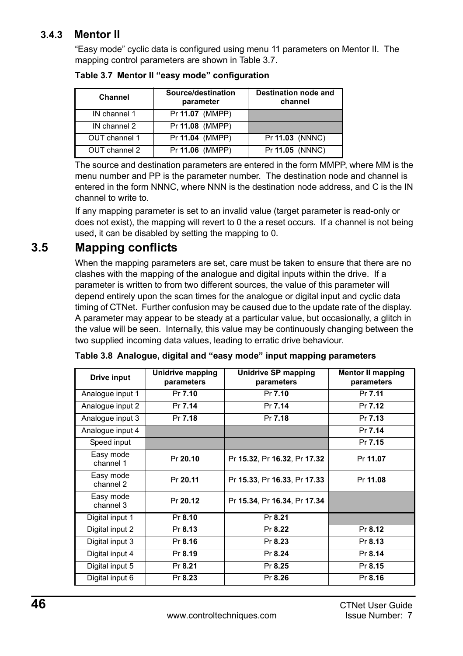### **3.4.3 Mentor II**

"Easy mode" cyclic data is configured using menu 11 parameters on Mentor II. The mapping control parameters are shown in [Table 3.7.](#page-45-1)

| Channel       | Source/destination<br>parameter | Destination node and<br>channel |
|---------------|---------------------------------|---------------------------------|
| IN channel 1  | Pr 11.07 (MMPP)                 |                                 |
| IN channel 2  | Pr 11.08 (MMPP)                 |                                 |
| OUT channel 1 | Pr 11.04 (MMPP)                 | Pr 11.03 (NNNC)                 |
| OUT channel 2 | Pr 11.06 (MMPP)                 | Pr 11.05 (NNNC)                 |

<span id="page-45-1"></span>**Table 3.7 Mentor II "easy mode" configuration**

The source and destination parameters are entered in the form MMPP, where MM is the menu number and PP is the parameter number. The destination node and channel is entered in the form NNNC, where NNN is the destination node address, and C is the IN channel to write to.

If any mapping parameter is set to an invalid value (target parameter is read-only or does not exist), the mapping will revert to 0 the a reset occurs. If a channel is not being used, it can be disabled by setting the mapping to 0.

## <span id="page-45-0"></span>**3.5 Mapping conflicts**

When the mapping parameters are set, care must be taken to ensure that there are no clashes with the mapping of the analogue and digital inputs within the drive. If a parameter is written to from two different sources, the value of this parameter will depend entirely upon the scan times for the analogue or digital input and cyclic data timing of CTNet. Further confusion may be caused due to the update rate of the display. A parameter may appear to be steady at a particular value, but occasionally, a glitch in the value will be seen. Internally, this value may be continuously changing between the two supplied incoming data values, leading to erratic drive behaviour.

| Drive input            | Unidrive mapping<br>parameters | Unidrive SP mapping<br>parameters | <b>Mentor II mapping</b><br>parameters |
|------------------------|--------------------------------|-----------------------------------|----------------------------------------|
| Analogue input 1       | Pr 7.10                        | Pr 7.10                           | Pr 7.11                                |
| Analogue input 2       | Pr 7.14                        | Pr 7.14                           | Pr 7.12                                |
| Analogue input 3       | Pr 7.18                        | Pr 7.18                           | Pr 7.13                                |
| Analogue input 4       |                                |                                   | $\overline{Pr}$ 7.14                   |
| Speed input            |                                |                                   | Pr 7.15                                |
| Easy mode<br>channel 1 | Pr 20.10                       | Pr 15.32, Pr 16.32, Pr 17.32      | Pr 11.07                               |
| Easy mode<br>channel 2 | Pr 20.11                       | Pr 15.33, Pr 16.33, Pr 17.33      | Pr 11.08                               |
| Easy mode<br>channel 3 | Pr 20.12                       | Pr 15.34, Pr 16.34, Pr 17.34      |                                        |
| Digital input 1        | Pr 8.10                        | Pr 8.21                           |                                        |
| Digital input 2        | Pr 8.13                        | Pr 8.22                           | Pr 8.12                                |
| Digital input 3        | Pr 8.16                        | Pr 8.23                           | Pr 8.13                                |
| Digital input 4        | Pr 8.19                        | Pr 8.24                           | Pr 8.14                                |
| Digital input 5        | Pr 8.21                        | Pr 8.25                           | Pr 8.15                                |
| Digital input 6        | Pr 8.23                        | Pr 8.26                           | Pr 8.16                                |

**Table 3.8 Analogue, digital and "easy mode" input mapping parameters**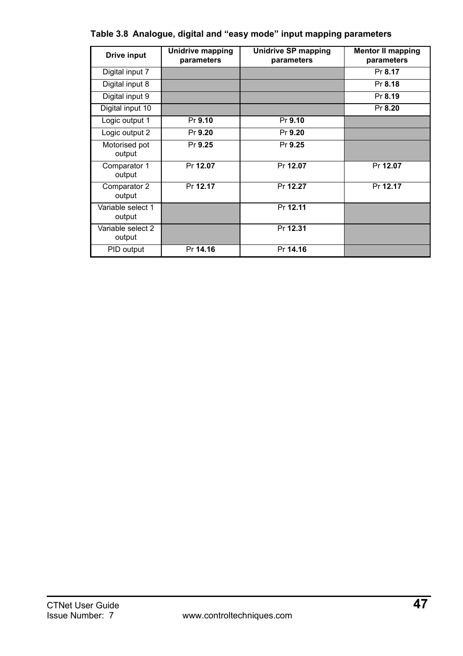| Drive input                 | Unidrive mapping<br>parameters | <b>Unidrive SP mapping</b><br>parameters | <b>Mentor II mapping</b><br>parameters |
|-----------------------------|--------------------------------|------------------------------------------|----------------------------------------|
| Digital input 7             |                                |                                          | Pr 8.17                                |
| Digital input 8             |                                |                                          | Pr 8.18                                |
| Digital input 9             |                                |                                          | Pr 8.19                                |
| Digital input 10            |                                |                                          | Pr 8.20                                |
| Logic output 1              | Pr 9.10                        | Pr 9.10                                  |                                        |
| Logic output 2              | Pr 9.20                        | Pr 9.20                                  |                                        |
| Motorised pot<br>output     | Pr 9.25                        | Pr 9.25                                  |                                        |
| Comparator 1<br>output      | Pr 12.07                       | Pr 12.07                                 | Pr 12.07                               |
| Comparator 2<br>output      | Pr 12.17                       | Pr 12.27                                 | Pr 12.17                               |
| Variable select 1<br>output |                                | Pr 12.11                                 |                                        |
| Variable select 2<br>output |                                | Pr 12.31                                 |                                        |
| PID output                  | Pr 14.16                       | Pr 14.16                                 |                                        |

|  |  |  | Table 3.8  Analogue, digital and "easy mode" input mapping parameters |
|--|--|--|-----------------------------------------------------------------------|
|  |  |  |                                                                       |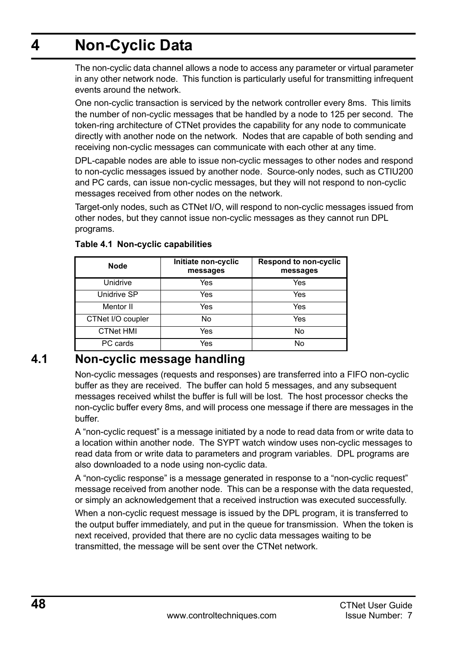# <span id="page-47-0"></span>**4 Non-Cyclic Data**

The non-cyclic data channel allows a node to access any parameter or virtual parameter in any other network node. This function is particularly useful for transmitting infrequent events around the network.

One non-cyclic transaction is serviced by the network controller every 8ms. This limits the number of non-cyclic messages that be handled by a node to 125 per second. The token-ring architecture of CTNet provides the capability for any node to communicate directly with another node on the network. Nodes that are capable of both sending and receiving non-cyclic messages can communicate with each other at any time.

DPL-capable nodes are able to issue non-cyclic messages to other nodes and respond to non-cyclic messages issued by another node. Source-only nodes, such as CTIU200 and PC cards, can issue non-cyclic messages, but they will not respond to non-cyclic messages received from other nodes on the network.

Target-only nodes, such as CTNet I/O, will respond to non-cyclic messages issued from other nodes, but they cannot issue non-cyclic messages as they cannot run DPL programs.

| Node              | Initiate non-cyclic<br>messages | <b>Respond to non-cyclic</b><br>messages |
|-------------------|---------------------------------|------------------------------------------|
| Unidrive          | Yes                             | Yes                                      |
| Unidrive SP       | Yes                             | Yes                                      |
| Mentor II         | Yes                             | Yes                                      |
| CTNet I/O coupler | No                              | Yes                                      |
| <b>CTNet HMI</b>  | Yes                             | No                                       |
| PC cards          | Yes                             | No                                       |

#### **Table 4.1 Non-cyclic capabilities**

## <span id="page-47-1"></span>**4.1 Non-cyclic message handling**

Non-cyclic messages (requests and responses) are transferred into a FIFO non-cyclic buffer as they are received. The buffer can hold 5 messages, and any subsequent messages received whilst the buffer is full will be lost. The host processor checks the non-cyclic buffer every 8ms, and will process one message if there are messages in the buffer.

A "non-cyclic request" is a message initiated by a node to read data from or write data to a location within another node. The SYPT watch window uses non-cyclic messages to read data from or write data to parameters and program variables. DPL programs are also downloaded to a node using non-cyclic data.

A "non-cyclic response" is a message generated in response to a "non-cyclic request" message received from another node. This can be a response with the data requested, or simply an acknowledgement that a received instruction was executed successfully.

When a non-cyclic request message is issued by the DPL program, it is transferred to the output buffer immediately, and put in the queue for transmission. When the token is next received, provided that there are no cyclic data messages waiting to be transmitted, the message will be sent over the CTNet network.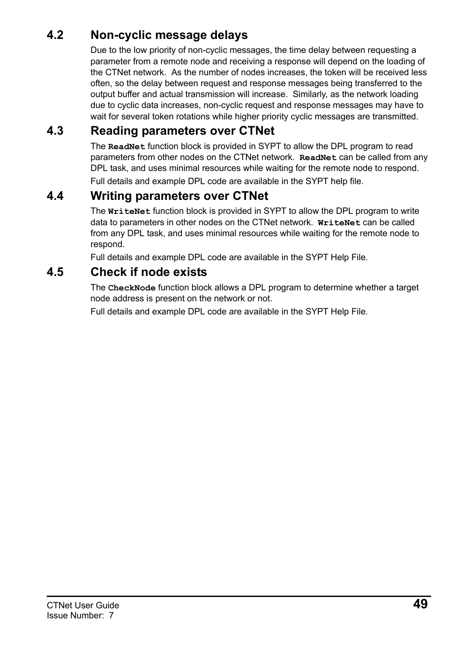## <span id="page-48-0"></span>**4.2 Non-cyclic message delays**

Due to the low priority of non-cyclic messages, the time delay between requesting a parameter from a remote node and receiving a response will depend on the loading of the CTNet network. As the number of nodes increases, the token will be received less often, so the delay between request and response messages being transferred to the output buffer and actual transmission will increase. Similarly, as the network loading due to cyclic data increases, non-cyclic request and response messages may have to wait for several token rotations while higher priority cyclic messages are transmitted.

## <span id="page-48-1"></span>**4.3 Reading parameters over CTNet**

The **ReadNet** function block is provided in SYPT to allow the DPL program to read parameters from other nodes on the CTNet network. **ReadNet** can be called from any DPL task, and uses minimal resources while waiting for the remote node to respond. Full details and example DPL code are available in the SYPT help file.

## <span id="page-48-2"></span>**4.4 Writing parameters over CTNet**

The **WriteNet** function block is provided in SYPT to allow the DPL program to write data to parameters in other nodes on the CTNet network. **WriteNet** can be called from any DPL task, and uses minimal resources while waiting for the remote node to respond.

Full details and example DPL code are available in the SYPT Help File.

## <span id="page-48-3"></span>**4.5 Check if node exists**

The **CheckNode** function block allows a DPL program to determine whether a target node address is present on the network or not.

Full details and example DPL code are available in the SYPT Help File.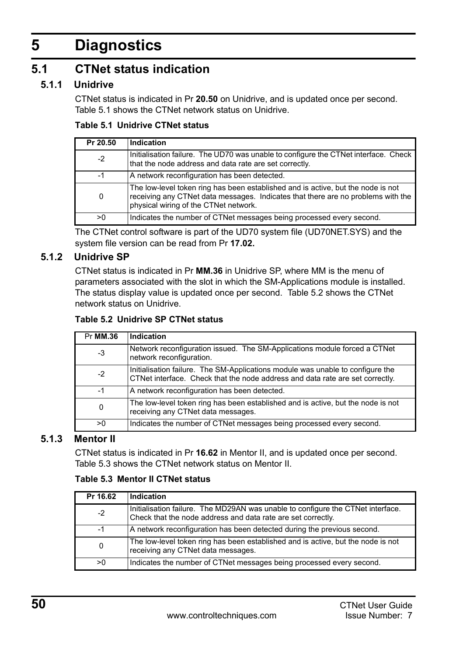# <span id="page-49-0"></span>**5 Diagnostics**

## <span id="page-49-1"></span>**5.1 CTNet status indication**

### **5.1.1 Unidrive**

<span id="page-49-2"></span>CTNet status is indicated in Pr **20.50** on Unidrive, and is updated once per second. [Table 5.1](#page-49-5) shows the CTNet network status on Unidrive.

#### <span id="page-49-5"></span>**Table 5.1 Unidrive CTNet status**

| Pr 20.50 | Indication                                                                                                                                                                                                    |
|----------|---------------------------------------------------------------------------------------------------------------------------------------------------------------------------------------------------------------|
| $-2$     | Initialisation failure. The UD70 was unable to configure the CTNet interface. Check<br>that the node address and data rate are set correctly.                                                                 |
| -1       | A network reconfiguration has been detected.                                                                                                                                                                  |
| 0        | The low-level token ring has been established and is active, but the node is not<br>receiving any CTNet data messages. Indicates that there are no problems with the<br>physical wiring of the CTNet network. |
| >0       | Indicates the number of CTNet messages being processed every second.                                                                                                                                          |

<span id="page-49-3"></span>The CTNet control software is part of the UD70 system file (UD70NET.SYS) and the system file version can be read from Pr **17.02.**

#### **5.1.2 Unidrive SP**

CTNet status is indicated in Pr **MM.36** in Unidrive SP, where MM is the menu of parameters associated with the slot in which the SM-Applications module is installed. The status display value is updated once per second. Table 5.2 shows the CTNet network status on Unidrive.

#### **Table 5.2 Unidrive SP CTNet status**

| Pr MM.36 | Indication                                                                                                                                                      |
|----------|-----------------------------------------------------------------------------------------------------------------------------------------------------------------|
| -3       | Network reconfiguration issued. The SM-Applications module forced a CTNet<br>network reconfiguration.                                                           |
| $-2$     | Initialisation failure. The SM-Applications module was unable to configure the<br>CTNet interface. Check that the node address and data rate are set correctly. |
| -1       | A network reconfiguration has been detected.                                                                                                                    |
| 0        | The low-level token ring has been established and is active, but the node is not<br>receiving any CTNet data messages.                                          |
| >0       | Indicates the number of CTNet messages being processed every second.                                                                                            |

### **5.1.3 Mentor II**

<span id="page-49-4"></span>CTNet status is indicated in Pr **16.62** in Mentor II, and is updated once per second. [Table 5.3](#page-49-6) shows the CTNet network status on Mentor II.

#### <span id="page-49-6"></span>**Table 5.3 Mentor II CTNet status**

| Pr 16.62 | Indication                                                                                                                                      |
|----------|-------------------------------------------------------------------------------------------------------------------------------------------------|
| $-2$     | Initialisation failure. The MD29AN was unable to configure the CTNet interface.<br>Check that the node address and data rate are set correctly. |
| -1       | A network reconfiguration has been detected during the previous second.                                                                         |
| 0        | The low-level token ring has been established and is active, but the node is not<br>receiving any CTNet data messages.                          |
| >0       | Indicates the number of CTNet messages being processed every second.                                                                            |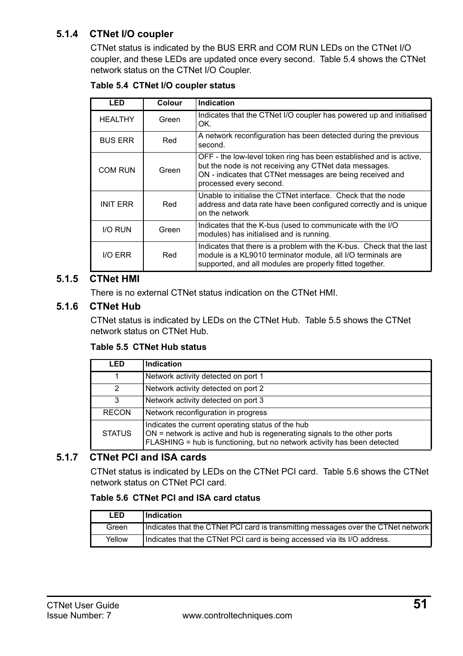### **5.1.4 CTNet I/O coupler**

CTNet status is indicated by the BUS ERR and COM RUN LEDs on the CTNet I/O coupler, and these LEDs are updated once every second. [Table 5.4](#page-50-0) shows the CTNet network status on the CTNet I/O Coupler.

<span id="page-50-0"></span>

|  | Table 5.4 CTNet I/O coupler status |  |  |
|--|------------------------------------|--|--|
|--|------------------------------------|--|--|

| LED             | Colour | Indication                                                                                                                                                                                                           |
|-----------------|--------|----------------------------------------------------------------------------------------------------------------------------------------------------------------------------------------------------------------------|
| <b>HEALTHY</b>  | Green  | Indicates that the CTNet I/O coupler has powered up and initialised<br>OK.                                                                                                                                           |
| <b>BUS ERR</b>  | Red    | A network reconfiguration has been detected during the previous<br>second.                                                                                                                                           |
| COM RUN         | Green  | OFF - the low-level token ring has been established and is active.<br>but the node is not receiving any CTNet data messages.<br>ON - indicates that CTNet messages are being received and<br>processed every second. |
| <b>INIT ERR</b> | Red    | Unable to initialise the CTNet interface. Check that the node<br>address and data rate have been configured correctly and is unique<br>on the network                                                                |
| <b>I/O RUN</b>  | Green  | Indicates that the K-bus (used to communicate with the I/O<br>modules) has initialised and is running.                                                                                                               |
| <b>I/O ERR</b>  | Red    | Indicates that there is a problem with the K-bus. Check that the last<br>module is a KL9010 terminator module, all I/O terminals are<br>supported, and all modules are properly fitted together.                     |

#### **5.1.5 CTNet HMI**

There is no external CTNet status indication on the CTNet HMI.

#### **5.1.6 CTNet Hub**

CTNet status is indicated by LEDs on the CTNet Hub. [Table 5.5](#page-50-1) shows the CTNet network status on CTNet Hub.

#### <span id="page-50-1"></span>**Table 5.5 CTNet Hub status**

| LED           | Indication                                                                                                                                                                                                   |
|---------------|--------------------------------------------------------------------------------------------------------------------------------------------------------------------------------------------------------------|
|               | Network activity detected on port 1                                                                                                                                                                          |
| 2             | Network activity detected on port 2                                                                                                                                                                          |
| 3             | Network activity detected on port 3                                                                                                                                                                          |
| <b>RECON</b>  | Network reconfiguration in progress                                                                                                                                                                          |
| <b>STATUS</b> | Indicates the current operating status of the hub<br>$ON$ = network is active and hub is regenerating signals to the other ports<br>FLASHING = hub is functioning, but no network activity has been detected |

### **5.1.7 CTNet PCI and ISA cards**

CTNet status is indicated by LEDs on the CTNet PCI card. [Table 5.6](#page-50-2) shows the CTNet network status on CTNet PCI card.

#### <span id="page-50-2"></span>**Table 5.6 CTNet PCI and ISA card ctatus**

| <b>LED</b> | Indication                                                                        |
|------------|-----------------------------------------------------------------------------------|
| Green      | Indicates that the CTNet PCI card is transmitting messages over the CTNet network |
| Yellow     | Indicates that the CTNet PCI card is being accessed via its I/O address.          |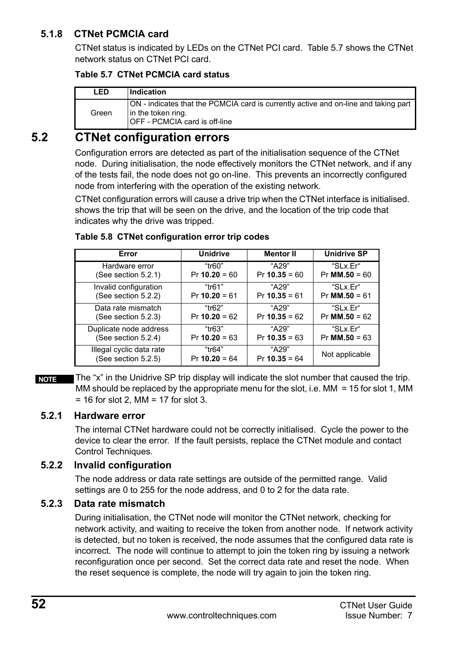### **5.1.8 CTNet PCMCIA card**

CTNet status is indicated by LEDs on the CTNet PCI card. [Table 5.7](#page-51-1) shows the CTNet network status on CTNet PCI card.

#### <span id="page-51-1"></span>**Table 5.7 CTNet PCMCIA card status**

| LED   | Indication                                                                                                                                 |
|-------|--------------------------------------------------------------------------------------------------------------------------------------------|
| Green | ON - indicates that the PCMCIA card is currently active and on-line and taking part<br>in the token ring.<br>OFF - PCMCIA card is off-line |

## <span id="page-51-0"></span>**5.2 CTNet configuration errors**

Configuration errors are detected as part of the initialisation sequence of the CTNet node. During initialisation, the node effectively monitors the CTNet network, and if any of the tests fail, the node does not go on-line. This prevents an incorrectly configured node from interfering with the operation of the existing network.

CTNet configuration errors will cause a drive trip when the CTNet interface is initialised. shows the trip that will be seen on the drive, and the location of the trip code that indicates why the drive was tripped.

| Error                    | <b>Unidrive</b> | <b>Mentor II</b> | <b>Unidrive SP</b> |
|--------------------------|-----------------|------------------|--------------------|
| Hardware error           | "tr60"          | "A29"            | "SLx.Er"           |
| (See section 5.2.1)      | $Pr 10.20 = 60$ | $Pr 10.35 = 60$  | $Pr$ MM.50 = 60    |
| Invalid configuration    | "tr61"          | "A29"            | "SLx.Er"           |
| (See section 5.2.2)      | $Pr 10.20 = 61$ | $Pr 10.35 = 61$  | $Pr$ MM.50 = 61    |
| Data rate mismatch       | "tr62"          | "A29"            | "SLx.Er"           |
| (See section 5.2.3)      | $Pr 10.20 = 62$ | $Pr 10.35 = 62$  | $Pr$ MM.50 = 62    |
| Duplicate node address   | "tr63"          | "A29"            | "SLx.Er"           |
| (See section 5.2.4)      | $Pr 10.20 = 63$ | $Pr 10.35 = 63$  | $Pr$ MM.50 = 63    |
| Illegal cyclic data rate | "tr64"          | "A29"            | Not applicable     |
| (See section 5.2.5)      | $Pr 10.20 = 64$ | $Pr 10.35 = 64$  |                    |

#### **Table 5.8 CTNet configuration error trip codes**

The "x" in the Unidrive SP trip display will indicate the slot number that caused the trip. MM should be replaced by the appropriate menu for the slot, i.e.  $MM = 15$  for slot 1, MM  $= 16$  for slot 2, MM  $= 17$  for slot 3. **NOTE**

### <span id="page-51-2"></span>**5.2.1 Hardware error**

The internal CTNet hardware could not be correctly initialised. Cycle the power to the device to clear the error. If the fault persists, replace the CTNet module and contact Control Techniques.

### <span id="page-51-3"></span>**5.2.2 Invalid configuration**

The node address or data rate settings are outside of the permitted range. Valid settings are 0 to 255 for the node address, and 0 to 2 for the data rate.

### <span id="page-51-4"></span>**5.2.3 Data rate mismatch**

During initialisation, the CTNet node will monitor the CTNet network, checking for network activity, and waiting to receive the token from another node. If network activity is detected, but no token is received, the node assumes that the configured data rate is incorrect. The node will continue to attempt to join the token ring by issuing a network reconfiguration once per second. Set the correct data rate and reset the node. When the reset sequence is complete, the node will try again to join the token ring.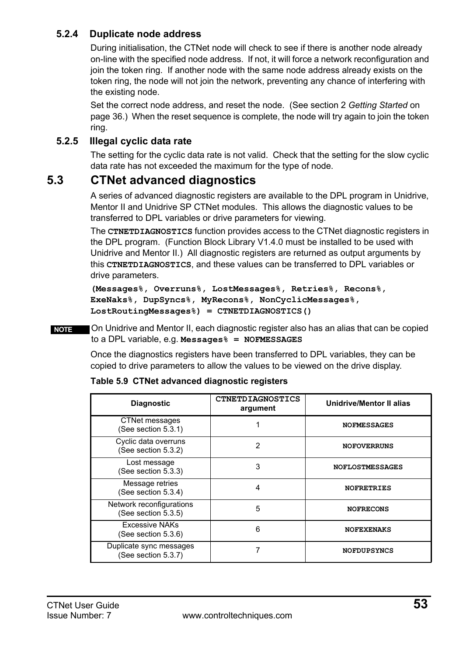### <span id="page-52-1"></span>**5.2.4 Duplicate node address**

During initialisation, the CTNet node will check to see if there is another node already on-line with the specified node address. If not, it will force a network reconfiguration and join the token ring. If another node with the same node address already exists on the token ring, the node will not join the network, preventing any chance of interfering with the existing node.

Set the correct node address, and reset the node. (See section 2 *[Getting Started](#page-35-2)* on [page 36.](#page-35-2)) When the reset sequence is complete, the node will try again to join the token ring.

### <span id="page-52-2"></span>**5.2.5 Illegal cyclic data rate**

The setting for the cyclic data rate is not valid. Check that the setting for the slow cyclic data rate has not exceeded the maximum for the type of node.

## <span id="page-52-0"></span>**5.3 CTNet advanced diagnostics**

A series of advanced diagnostic registers are available to the DPL program in Unidrive, Mentor II and Unidrive SP CTNet modules. This allows the diagnostic values to be transferred to DPL variables or drive parameters for viewing.

The **CTNETDIAGNOSTICS** function provides access to the CTNet diagnostic registers in the DPL program. (Function Block Library V1.4.0 must be installed to be used with Unidrive and Mentor II.) All diagnostic registers are returned as output arguments by this **CTNETDIAGNOSTICS**, and these values can be transferred to DPL variables or drive parameters.

```
(Messages%, Overruns%, LostMessages%, Retries%, Recons%, 
ExeNaks%, DupSyncs%, MyRecons%, NonCyclicMessages%, 
LostRoutingMessages%) = CTNETDIAGNOSTICS()
```
On Unidrive and Mentor II, each diagnostic register also has an alias that can be copied to a DPL variable, e.g. **Messages% = NOFMESSAGES NOTE**

> Once the diagnostics registers have been transferred to DPL variables, they can be copied to drive parameters to allow the values to be viewed on the drive display.

| <b>Diagnostic</b>                               | <b>CTNETDIAGNOSTICS</b><br>argument | Unidrive/Mentor II alias |
|-------------------------------------------------|-------------------------------------|--------------------------|
| <b>CTNet messages</b><br>(See section 5.3.1)    |                                     | <b>NOFMESSAGES</b>       |
| Cyclic data overruns<br>(See section 5.3.2)     | 2                                   | <b>NOFOVERRUNS</b>       |
| Lost message<br>(See section 5.3.3)             | 3                                   | <b>NOFLOSTMESSAGES</b>   |
| Message retries<br>(See section 5.3.4)          | 4                                   | <b>NOFRETRIES</b>        |
| Network reconfigurations<br>(See section 5.3.5) | 5                                   | <b>NOFRECONS</b>         |
| <b>Excessive NAKs</b><br>(See section 5.3.6)    | 6                                   | <b>NOFEXENAKS</b>        |
| Duplicate sync messages<br>(See section 5.3.7)  |                                     | <b>NOFDUPSYNCS</b>       |

#### **Table 5.9 CTNet advanced diagnostic registers**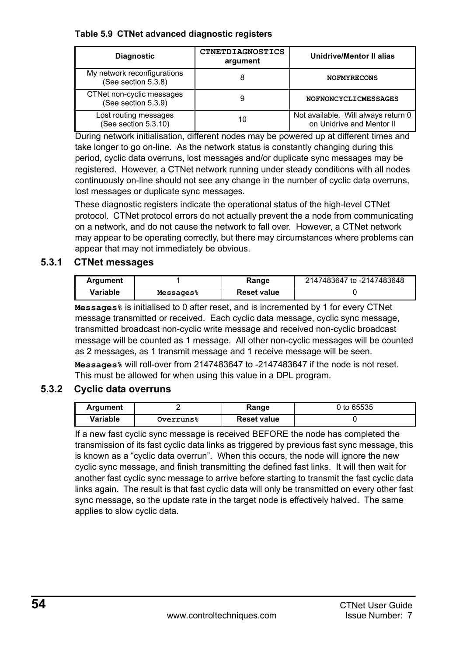#### **Table 5.9 CTNet advanced diagnostic registers**

| <b>Diagnostic</b>                                  | <b>CTNETDIAGNOSTICS</b><br>argument | <b>Unidrive/Mentor II alias</b>                                  |
|----------------------------------------------------|-------------------------------------|------------------------------------------------------------------|
| My network reconfigurations<br>(See section 5.3.8) | 8                                   | <b>NOFMYRECONS</b>                                               |
| CTNet non-cyclic messages<br>(See section 5.3.9)   | 9                                   | NOFNONCYCLICMESSAGES                                             |
| Lost routing messages<br>(See section 5.3.10)      | 10                                  | Not available. Will always return 0<br>on Unidrive and Mentor II |

During network initialisation, different nodes may be powered up at different times and take longer to go on-line. As the network status is constantly changing during this period, cyclic data overruns, lost messages and/or duplicate sync messages may be registered. However, a CTNet network running under steady conditions with all nodes continuously on-line should not see any change in the number of cyclic data overruns, lost messages or duplicate sync messages.

These diagnostic registers indicate the operational status of the high-level CTNet protocol. CTNet protocol errors do not actually prevent the a node from communicating on a network, and do not cause the network to fall over. However, a CTNet network may appear to be operating correctly, but there may circumstances where problems can appear that may not immediately be obvious.

#### <span id="page-53-0"></span>**5.3.1 CTNet messages**

| Argument |                       | Range              | 2147483647 to -2147483648 |
|----------|-----------------------|--------------------|---------------------------|
| Variable | Messages <sup>8</sup> | <b>Reset value</b> |                           |

**Messages%** is initialised to 0 after reset, and is incremented by 1 for every CTNet message transmitted or received. Each cyclic data message, cyclic sync message, transmitted broadcast non-cyclic write message and received non-cyclic broadcast message will be counted as 1 message. All other non-cyclic messages will be counted as 2 messages, as 1 transmit message and 1 receive message will be seen.

**Messages%** will roll-over from 2147483647 to -2147483647 if the node is not reset. This must be allowed for when using this value in a DPL program.

### <span id="page-53-1"></span>**5.3.2 Cyclic data overruns**

| Argument |                  | Range              | 0 to 65535 |
|----------|------------------|--------------------|------------|
| Variable | <b>Overruns%</b> | <b>Reset value</b> |            |

If a new fast cyclic sync message is received BEFORE the node has completed the transmission of its fast cyclic data links as triggered by previous fast sync message, this is known as a "cyclic data overrun". When this occurs, the node will ignore the new cyclic sync message, and finish transmitting the defined fast links. It will then wait for another fast cyclic sync message to arrive before starting to transmit the fast cyclic data links again. The result is that fast cyclic data will only be transmitted on every other fast sync message, so the update rate in the target node is effectively halved. The same applies to slow cyclic data.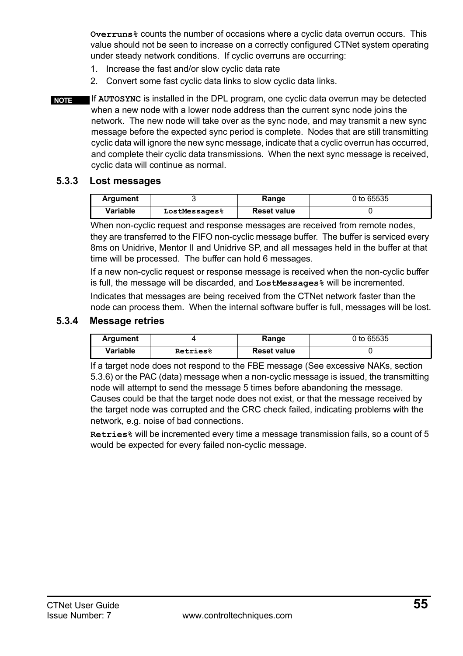**Overruns%** counts the number of occasions where a cyclic data overrun occurs. This value should not be seen to increase on a correctly configured CTNet system operating under steady network conditions. If cyclic overruns are occurring:

- 1. Increase the fast and/or slow cyclic data rate
- 2. Convert some fast cyclic data links to slow cyclic data links.
- If **AUTOSYNC** is installed in the DPL program, one cyclic data overrun may be detected when a new node with a lower node address than the current sync node joins the network. The new node will take over as the sync node, and may transmit a new sync message before the expected sync period is complete. Nodes that are still transmitting cyclic data will ignore the new sync message, indicate that a cyclic overrun has occurred, and complete their cyclic data transmissions. When the next sync message is received, cyclic data will continue as normal. **NOTE**

#### <span id="page-54-0"></span>**5.3.3 Lost messages**

| Argument | Range         |                    | 0 to 65535 |
|----------|---------------|--------------------|------------|
| Variable | LostMessages% | <b>Reset value</b> |            |

When non-cyclic request and response messages are received from remote nodes, they are transferred to the FIFO non-cyclic message buffer. The buffer is serviced every 8ms on Unidrive, Mentor II and Unidrive SP, and all messages held in the buffer at that time will be processed. The buffer can hold 6 messages.

If a new non-cyclic request or response message is received when the non-cyclic buffer is full, the message will be discarded, and **LostMessages%** will be incremented.

Indicates that messages are being received from the CTNet network faster than the node can process them. When the internal software buffer is full, messages will be lost.

#### <span id="page-54-1"></span>**5.3.4 Message retries**

| Argument |          | Range              | 0 to 65535 |
|----------|----------|--------------------|------------|
| Variable | Retries% | <b>Reset value</b> |            |

If a target node does not respond to the FBE message (See excessive NAKs, [section](#page-56-0)  [5.3.6\)](#page-56-0) or the PAC (data) message when a non-cyclic message is issued, the transmitting node will attempt to send the message 5 times before abandoning the message. Causes could be that the target node does not exist, or that the message received by the target node was corrupted and the CRC check failed, indicating problems with the network, e.g. noise of bad connections.

**Retries%** will be incremented every time a message transmission fails, so a count of 5 would be expected for every failed non-cyclic message.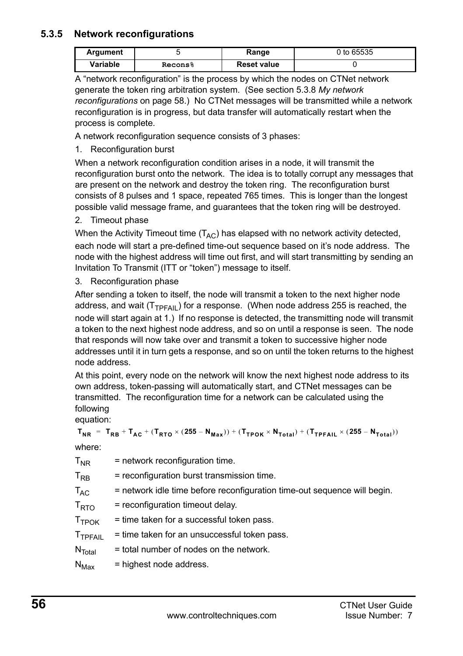### <span id="page-55-0"></span>**5.3.5 Network reconfigurations**

| Argument |         | Range              | 0 to 65535 |
|----------|---------|--------------------|------------|
| Variable | Recons% | <b>Reset value</b> |            |

A "network reconfiguration" is the process by which the nodes on CTNet network generate the token ring arbitration system. (See [section 5.3.8](#page-57-1) *My network [reconfigurations](#page-57-1)* on page 58.) No CTNet messages will be transmitted while a network reconfiguration is in progress, but data transfer will automatically restart when the process is complete.

A network reconfiguration sequence consists of 3 phases:

1. Reconfiguration burst

When a network reconfiguration condition arises in a node, it will transmit the reconfiguration burst onto the network. The idea is to totally corrupt any messages that are present on the network and destroy the token ring. The reconfiguration burst consists of 8 pulses and 1 space, repeated 765 times. This is longer than the longest possible valid message frame, and guarantees that the token ring will be destroyed.

2. Timeout phase

When the Activity Timeout time  $(T_{AC})$  has elapsed with no network activity detected, each node will start a pre-defined time-out sequence based on it's node address. The node with the highest address will time out first, and will start transmitting by sending an Invitation To Transmit (ITT or "token") message to itself.

3. Reconfiguration phase

After sending a token to itself, the node will transmit a token to the next higher node address, and wait  $(T_{TPFAll})$  for a response. (When node address 255 is reached, the node will start again at 1.) If no response is detected, the transmitting node will transmit a token to the next highest node address, and so on until a response is seen. The node that responds will now take over and transmit a token to successive higher node addresses until it in turn gets a response, and so on until the token returns to the highest node address.

At this point, every node on the network will know the next highest node address to its own address, token-passing will automatically start, and CTNet messages can be transmitted. The reconfiguration time for a network can be calculated using the following

equation:

 $T_{NR}$  =  $T_{RB}$  +  $T_{AC}$  + ( $T_{RTO}$  × (255 -  $N_{Max}$ )) + ( $T_{TPOK}$  ×  $N_{Total}$ ) + ( $T_{TPFAIL}$  × (255 -  $N_{Total}$ ))

where:

| $T_{NR}$            | = network reconfiguration time.                                          |
|---------------------|--------------------------------------------------------------------------|
| $T_{RR}$            | = reconfiguration burst transmission time.                               |
| $T_{AC}$            | = network idle time before reconfiguration time-out sequence will begin. |
| $T_{\text{RTO}}$    | = reconfiguration timeout delay.                                         |
| T <sub>TPOK</sub>   | = time taken for a successful token pass.                                |
| T <sub>TPFAIL</sub> | = time taken for an unsuccessful token pass.                             |
| $N_{\text{Total}}$  | = total number of nodes on the network.                                  |
| $N_{\text{Max}}$    | = highest node address.                                                  |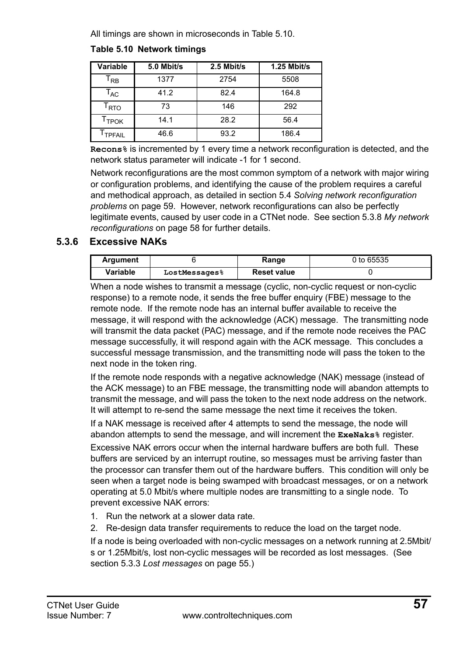All timings are shown in microseconds in [Table 5.10](#page-56-1).

### <span id="page-56-1"></span>**Table 5.10 Network timings**

| Variable                    | 5.0 Mbit/s | 2.5 Mbit/s | 1.25 Mbit/s |
|-----------------------------|------------|------------|-------------|
| T <sub>RB</sub>             | 1377       | 2754       | 5508        |
| $\mathsf{T}_{\mathsf{AC}}$  | 41.2       | 82.4       | 164.8       |
| $\mathsf{T}_{\mathsf{RTO}}$ | 73         | 146        | 292         |
| Т <sub>ТРОК</sub>           | 14.1       | 28.2       | 56.4        |
| I TPFAIL                    | 46.6       | 93.2       | 186.4       |

**Recons%** is incremented by 1 every time a network reconfiguration is detected, and the network status parameter will indicate -1 for 1 second.

Network reconfigurations are the most common symptom of a network with major wiring or configuration problems, and identifying the cause of the problem requires a careful and methodical approach, as detailed in section 5.4 *[Solving network reconfiguration](#page-58-0)  problems* [on page 59](#page-58-0). However, network reconfigurations can also be perfectly legitimate events, caused by user code in a CTNet node. See [section 5.3.8](#page-57-1) *My network [reconfigurations](#page-57-1)* on page 58 for further details.

### <span id="page-56-0"></span>**5.3.6 Excessive NAKs**

| Argument | Range         |                    | 0 to 65535 |
|----------|---------------|--------------------|------------|
| Variable | LostMessages% | <b>Reset value</b> |            |

When a node wishes to transmit a message (cyclic, non-cyclic request or non-cyclic response) to a remote node, it sends the free buffer enquiry (FBE) message to the remote node. If the remote node has an internal buffer available to receive the message, it will respond with the acknowledge (ACK) message. The transmitting node will transmit the data packet (PAC) message, and if the remote node receives the PAC message successfully, it will respond again with the ACK message. This concludes a successful message transmission, and the transmitting node will pass the token to the next node in the token ring.

If the remote node responds with a negative acknowledge (NAK) message (instead of the ACK message) to an FBE message, the transmitting node will abandon attempts to transmit the message, and will pass the token to the next node address on the network. It will attempt to re-send the same message the next time it receives the token.

If a NAK message is received after 4 attempts to send the message, the node will abandon attempts to send the message, and will increment the **ExeNaks%** register.

Excessive NAK errors occur when the internal hardware buffers are both full. These buffers are serviced by an interrupt routine, so messages must be arriving faster than the processor can transfer them out of the hardware buffers. This condition will only be seen when a target node is being swamped with broadcast messages, or on a network operating at 5.0 Mbit/s where multiple nodes are transmitting to a single node. To prevent excessive NAK errors:

- 1. Run the network at a slower data rate.
- 2. Re-design data transfer requirements to reduce the load on the target node.

If a node is being overloaded with non-cyclic messages on a network running at 2.5Mbit/ s or 1.25Mbit/s, lost non-cyclic messages will be recorded as lost messages. (See section 5.3.3 *[Lost messages](#page-54-0)* on page 55.)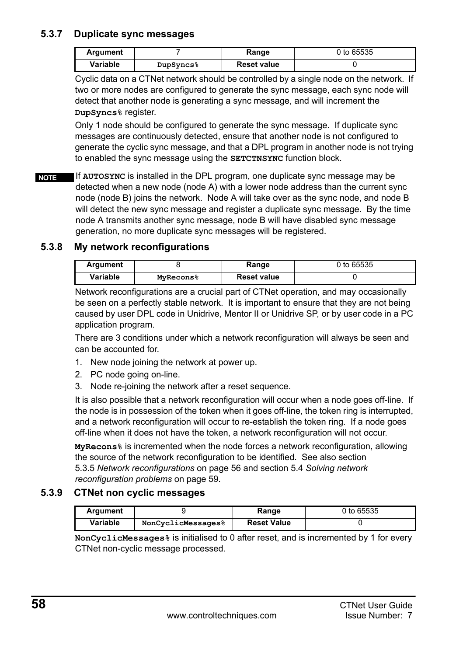### <span id="page-57-0"></span>**5.3.7 Duplicate sync messages**

| Argument |                       | Range              | 0 to 65535 |
|----------|-----------------------|--------------------|------------|
| Variable | DupSyncs <sup>8</sup> | <b>Reset value</b> |            |

Cyclic data on a CTNet network should be controlled by a single node on the network. If two or more nodes are configured to generate the sync message, each sync node will detect that another node is generating a sync message, and will increment the **DupSyncs%** register.

Only 1 node should be configured to generate the sync message. If duplicate sync messages are continuously detected, ensure that another node is not configured to generate the cyclic sync message, and that a DPL program in another node is not trying to enabled the sync message using the **SETCTNSYNC** function block.

If **AUTOSYNC** is installed in the DPL program, one duplicate sync message may be detected when a new node (node A) with a lower node address than the current sync node (node B) joins the network. Node A will take over as the sync node, and node B will detect the new sync message and register a duplicate sync message. By the time node A transmits another sync message, node B will have disabled sync message generation, no more duplicate sync messages will be registered. **NOTE**

#### <span id="page-57-1"></span>**5.3.8 My network reconfigurations**

| Argument |                       | Range              | 0 to 65535 |
|----------|-----------------------|--------------------|------------|
| Variable | MvRecons <sup>8</sup> | <b>Reset value</b> |            |

Network reconfigurations are a crucial part of CTNet operation, and may occasionally be seen on a perfectly stable network. It is important to ensure that they are not being caused by user DPL code in Unidrive, Mentor II or Unidrive SP, or by user code in a PC application program.

There are 3 conditions under which a network reconfiguration will always be seen and can be accounted for.

- 1. New node joining the network at power up.
- 2. PC node going on-line.
- 3. Node re-joining the network after a reset sequence.

It is also possible that a network reconfiguration will occur when a node goes off-line. If the node is in possession of the token when it goes off-line, the token ring is interrupted, and a network reconfiguration will occur to re-establish the token ring. If a node goes off-line when it does not have the token, a network reconfiguration will not occur.

**MyRecons%** is incremented when the node forces a network reconfiguration, allowing the source of the network reconfiguration to be identified. See also [section](#page-55-0)  5.3.5 *[Network reconfigurations](#page-55-0)* on page 56 and section 5.4 *[Solving network](#page-58-0)  [reconfiguration problems](#page-58-0)* on page 59.

#### <span id="page-57-2"></span>**5.3.9 CTNet non cyclic messages**

| Argument |                    | Range              | 0 to 65535 |
|----------|--------------------|--------------------|------------|
| Variable | NonCyclicMessages% | <b>Reset Value</b> |            |

**NonCyclicMessages%** is initialised to 0 after reset, and is incremented by 1 for every CTNet non-cyclic message processed.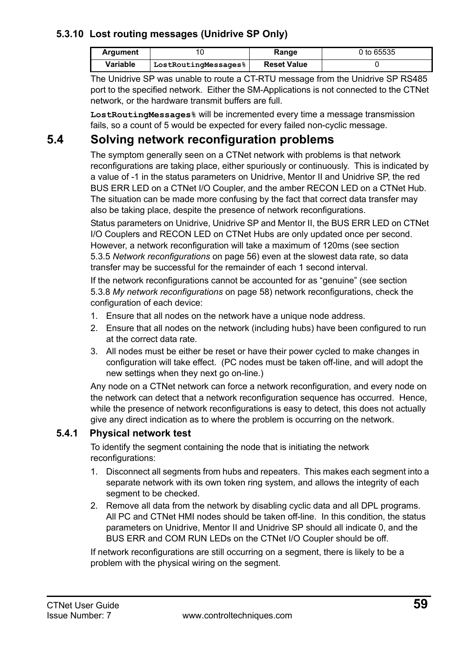### <span id="page-58-1"></span>**5.3.10 Lost routing messages (Unidrive SP Only)**

| Argument |                      | Range              | 0 to 65535 |
|----------|----------------------|--------------------|------------|
| Variable | LostRoutingMessages% | <b>Reset Value</b> |            |

The Unidrive SP was unable to route a CT-RTU message from the Unidrive SP RS485 port to the specified network. Either the SM-Applications is not connected to the CTNet network, or the hardware transmit buffers are full.

**LostRoutingMessages%** will be incremented every time a message transmission fails, so a count of 5 would be expected for every failed non-cyclic message.

## <span id="page-58-0"></span>**5.4 Solving network reconfiguration problems**

The symptom generally seen on a CTNet network with problems is that network reconfigurations are taking place, either spuriously or continuously. This is indicated by a value of -1 in the status parameters on Unidrive, Mentor II and Unidrive SP, the red BUS ERR LED on a CTNet I/O Coupler, and the amber RECON LED on a CTNet Hub. The situation can be made more confusing by the fact that correct data transfer may also be taking place, despite the presence of network reconfigurations.

Status parameters on Unidrive, Unidrive SP and Mentor II, the BUS ERR LED on CTNet I/O Couplers and RECON LED on CTNet Hubs are only updated once per second. However, a network reconfiguration will take a maximum of 120ms (see [section](#page-55-0)  5.3.5 *[Network reconfigurations](#page-55-0)* on page 56) even at the slowest data rate, so data transfer may be successful for the remainder of each 1 second interval.

If the network reconfigurations cannot be accounted for as "genuine" (see [section](#page-57-1)  5.3.8 *[My network reconfigurations](#page-57-1)* on page 58) network reconfigurations, check the configuration of each device:

- 1. Ensure that all nodes on the network have a unique node address.
- 2. Ensure that all nodes on the network (including hubs) have been configured to run at the correct data rate.
- 3. All nodes must be either be reset or have their power cycled to make changes in configuration will take effect. (PC nodes must be taken off-line, and will adopt the new settings when they next go on-line.)

Any node on a CTNet network can force a network reconfiguration, and every node on the network can detect that a network reconfiguration sequence has occurred. Hence, while the presence of network reconfigurations is easy to detect, this does not actually give any direct indication as to where the problem is occurring on the network.

### **5.4.1 Physical network test**

To identify the segment containing the node that is initiating the network reconfigurations:

- 1. Disconnect all segments from hubs and repeaters. This makes each segment into a separate network with its own token ring system, and allows the integrity of each segment to be checked.
- 2. Remove all data from the network by disabling cyclic data and all DPL programs. All PC and CTNet HMI nodes should be taken off-line. In this condition, the status parameters on Unidrive, Mentor II and Unidrive SP should all indicate 0, and the BUS ERR and COM RUN LEDs on the CTNet I/O Coupler should be off.

If network reconfigurations are still occurring on a segment, there is likely to be a problem with the physical wiring on the segment.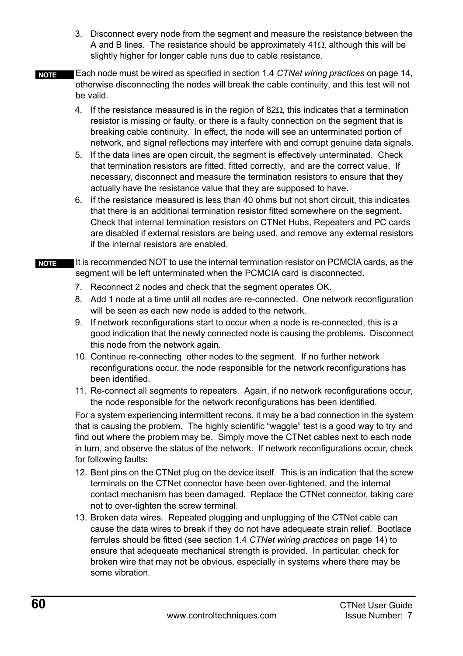- 3. Disconnect every node from the segment and measure the resistance between the A and B lines. The resistance should be approximately  $41\Omega$ , although this will be slightly higher for longer cable runs due to cable resistance.
- Each node must be wired as specified in section 1.4 *[CTNet wiring practices](#page-13-1)* on page 14, otherwise disconnecting the nodes will break the cable continuity, and this test will not be valid. **NOTE**
	- 4. If the resistance measured is in the region of  $82\Omega$ , this indicates that a termination resistor is missing or faulty, or there is a faulty connection on the segment that is breaking cable continuity. In effect, the node will see an unterminated portion of network, and signal reflections may interfere with and corrupt genuine data signals.
	- 5. If the data lines are open circuit, the segment is effectively unterminated. Check that termination resistors are fitted, fitted correctly, and are the correct value. If necessary, disconnect and measure the termination resistors to ensure that they actually have the resistance value that they are supposed to have.
	- 6. If the resistance measured is less than 40 ohms but not short circuit, this indicates that there is an additional termination resistor fitted somewhere on the segment. Check that internal termination resistors on CTNet Hubs, Repeaters and PC cards are disabled if external resistors are being used, and remove any external resistors if the internal resistors are enabled.
- It is recommended NOT to use the internal termination resistor on PCMCIA cards, as the segment will be left unterminated when the PCMCIA card is disconnected. **NOTE**
	- 7. Reconnect 2 nodes and check that the segment operates OK.
	- 8. Add 1 node at a time until all nodes are re-connected. One network reconfiguration will be seen as each new node is added to the network.
	- 9. If network reconfigurations start to occur when a node is re-connected, this is a good indication that the newly connected node is causing the problems. Disconnect this node from the network again.
	- 10. Continue re-connecting other nodes to the segment. If no further network reconfigurations occur, the node responsible for the network reconfigurations has been identified.
	- 11. Re-connect all segments to repeaters. Again, if no network reconfigurations occur, the node responsible for the network reconfigurations has been identified.

For a system experiencing intermittent recons, it may be a bad connection in the system that is causing the problem. The highly scientific "waggle" test is a good way to try and find out where the problem may be. Simply move the CTNet cables next to each node in turn, and observe the status of the network. If network reconfigurations occur, check for following faults:

- 12. Bent pins on the CTNet plug on the device itself. This is an indication that the screw terminals on the CTNet connector have been over-tightened, and the internal contact mechanism has been damaged. Replace the CTNet connector, taking care not to over-tighten the screw terminal.
- 13. Broken data wires. Repeated plugging and unplugging of the CTNet cable can cause the data wires to break if they do not have adequeate strain relief. Bootlace ferrules should be fitted (see section 1.4 *[CTNet wiring practices](#page-13-1)* on page 14) to ensure that adequeate mechanical strength is provided. In particular, check for broken wire that may not be obvious, especially in systems where there may be some vibration.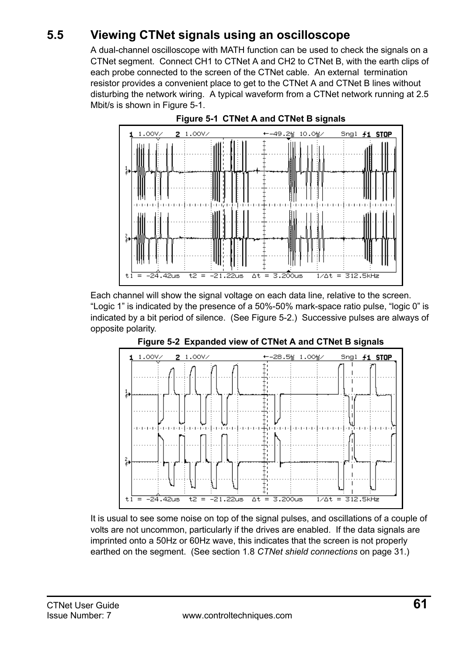## <span id="page-60-0"></span>**5.5 Viewing CTNet signals using an oscilloscope**

A dual-channel oscilloscope with MATH function can be used to check the signals on a CTNet segment. Connect CH1 to CTNet A and CH2 to CTNet B, with the earth clips of each probe connected to the screen of the CTNet cable. An external termination resistor provides a convenient place to get to the CTNet A and CTNet B lines without disturbing the network wiring. A typical waveform from a CTNet network running at 2.5 Mbit/s is shown in [Figure 5-1.](#page-60-1)

<span id="page-60-1"></span>



Each channel will show the signal voltage on each data line, relative to the screen. "Logic 1" is indicated by the presence of a 50%-50% mark-space ratio pulse, "logic 0" is indicated by a bit period of silence. (See [Figure 5-2.](#page-60-2)) Successive pulses are always of opposite polarity.

<span id="page-60-2"></span>

**Figure 5-2 Expanded view of CTNet A and CTNet B signals**

It is usual to see some noise on top of the signal pulses, and oscillations of a couple of volts are not uncommon, particularly if the drives are enabled. If the data signals are imprinted onto a 50Hz or 60Hz wave, this indicates that the screen is not properly earthed on the segment. (See section 1.8 *[CTNet shield connections](#page-30-2)* on page 31.)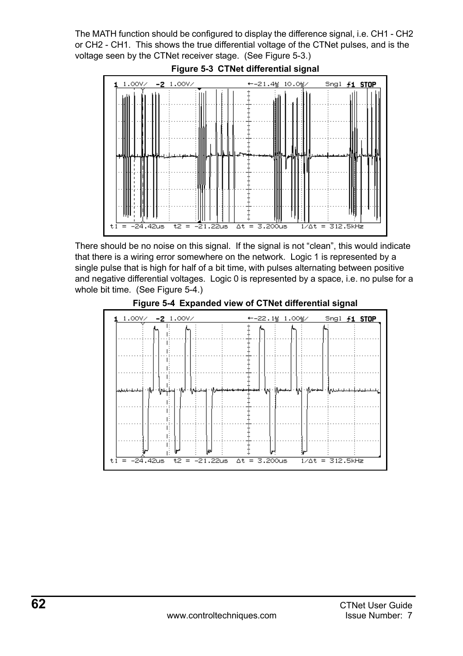The MATH function should be configured to display the difference signal, i.e. CH1 - CH2 or CH2 - CH1. This shows the true differential voltage of the CTNet pulses, and is the voltage seen by the CTNet receiver stage. (See [Figure 5-3](#page-61-0).)

<span id="page-61-0"></span>

**Figure 5-3 CTNet differential signal**

There should be no noise on this signal. If the signal is not "clean", this would indicate that there is a wiring error somewhere on the network. Logic 1 is represented by a single pulse that is high for half of a bit time, with pulses alternating between positive and negative differential voltages. Logic 0 is represented by a space, i.e. no pulse for a whole bit time. (See [Figure 5-4](#page-61-1).)

<span id="page-61-1"></span>

**Figure 5-4 Expanded view of CTNet differential signal**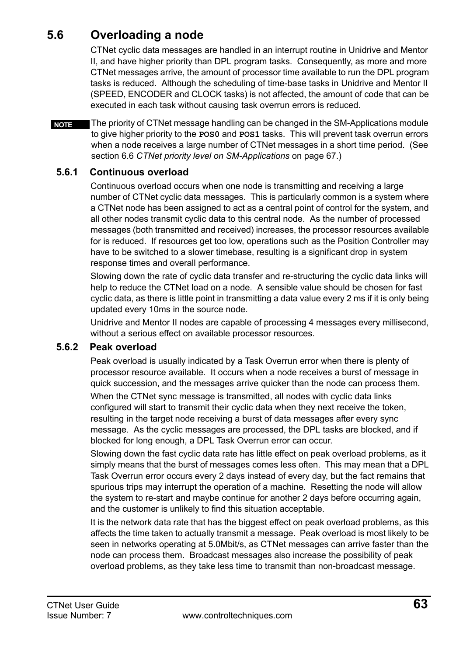## <span id="page-62-0"></span>**5.6 Overloading a node**

<span id="page-62-1"></span>CTNet cyclic data messages are handled in an interrupt routine in Unidrive and Mentor II, and have higher priority than DPL program tasks. Consequently, as more and more CTNet messages arrive, the amount of processor time available to run the DPL program tasks is reduced. Although the scheduling of time-base tasks in Unidrive and Mentor II (SPEED, ENCODER and CLOCK tasks) is not affected, the amount of code that can be executed in each task without causing task overrun errors is reduced.

The priority of CTNet message handling can be changed in the SM-Applications module to give higher priority to the **POS0** and **POS1** tasks. This will prevent task overrun errors when a node receives a large number of CTNet messages in a short time period. (See section 6.6 *[CTNet priority level on SM-Applications](#page-66-2)* on page 67.) **NOTE**

#### **5.6.1 Continuous overload**

Continuous overload occurs when one node is transmitting and receiving a large number of CTNet cyclic data messages. This is particularly common is a system where a CTNet node has been assigned to act as a central point of control for the system, and all other nodes transmit cyclic data to this central node. As the number of processed messages (both transmitted and received) increases, the processor resources available for is reduced. If resources get too low, operations such as the Position Controller may have to be switched to a slower timebase, resulting is a significant drop in system response times and overall performance.

Slowing down the rate of cyclic data transfer and re-structuring the cyclic data links will help to reduce the CTNet load on a node. A sensible value should be chosen for fast cyclic data, as there is little point in transmitting a data value every 2 ms if it is only being updated every 10ms in the source node.

Unidrive and Mentor II nodes are capable of processing 4 messages every millisecond, without a serious effect on available processor resources.

#### **5.6.2 Peak overload**

Peak overload is usually indicated by a Task Overrun error when there is plenty of processor resource available. It occurs when a node receives a burst of message in quick succession, and the messages arrive quicker than the node can process them.

When the CTNet sync message is transmitted, all nodes with cyclic data links configured will start to transmit their cyclic data when they next receive the token, resulting in the target node receiving a burst of data messages after every sync message. As the cyclic messages are processed, the DPL tasks are blocked, and if blocked for long enough, a DPL Task Overrun error can occur.

Slowing down the fast cyclic data rate has little effect on peak overload problems, as it simply means that the burst of messages comes less often. This may mean that a DPL Task Overrun error occurs every 2 days instead of every day, but the fact remains that spurious trips may interrupt the operation of a machine. Resetting the node will allow the system to re-start and maybe continue for another 2 days before occurring again, and the customer is unlikely to find this situation acceptable.

It is the network data rate that has the biggest effect on peak overload problems, as this affects the time taken to actually transmit a message. Peak overload is most likely to be seen in networks operating at 5.0Mbit/s, as CTNet messages can arrive faster than the node can process them. Broadcast messages also increase the possibility of peak overload problems, as they take less time to transmit than non-broadcast message.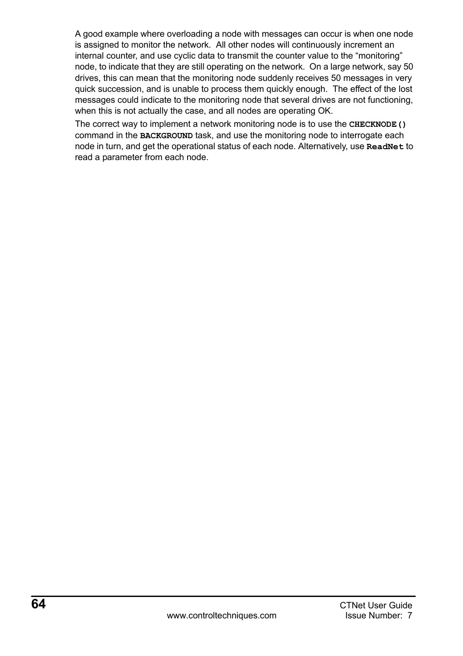A good example where overloading a node with messages can occur is when one node is assigned to monitor the network. All other nodes will continuously increment an internal counter, and use cyclic data to transmit the counter value to the "monitoring" node, to indicate that they are still operating on the network. On a large network, say 50 drives, this can mean that the monitoring node suddenly receives 50 messages in very quick succession, and is unable to process them quickly enough. The effect of the lost messages could indicate to the monitoring node that several drives are not functioning, when this is not actually the case, and all nodes are operating OK.

The correct way to implement a network monitoring node is to use the **CHECKNODE()** command in the **BACKGROUND** task, and use the monitoring node to interrogate each node in turn, and get the operational status of each node. Alternatively, use **ReadNet** to read a parameter from each node.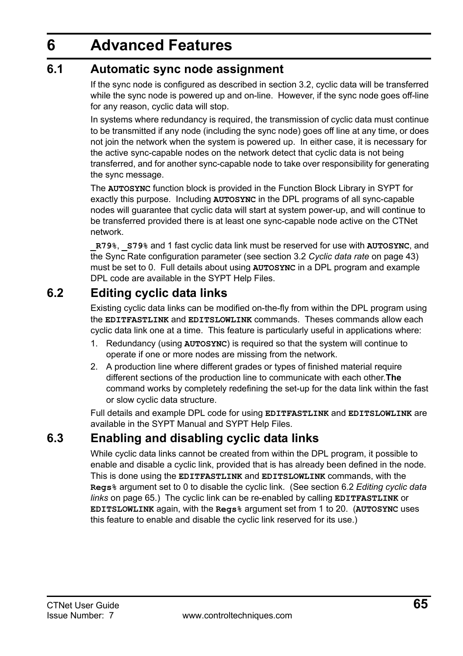# <span id="page-64-0"></span>**6 Advanced Features**

## <span id="page-64-1"></span>**6.1 Automatic sync node assignment**

<span id="page-64-4"></span>If the sync node is configured as described in [section 3.2](#page-42-2), cyclic data will be transferred while the sync node is powered up and on-line. However, if the sync node goes off-line for any reason, cyclic data will stop.

In systems where redundancy is required, the transmission of cyclic data must continue to be transmitted if any node (including the sync node) goes off line at any time, or does not join the network when the system is powered up. In either case, it is necessary for the active sync-capable nodes on the network detect that cyclic data is not being transferred, and for another sync-capable node to take over responsibility for generating the sync message.

The **AUTOSYNC** function block is provided in the Function Block Library in SYPT for exactly this purpose. Including **AUTOSYNC** in the DPL programs of all sync-capable nodes will guarantee that cyclic data will start at system power-up, and will continue to be transferred provided there is at least one sync-capable node active on the CTNet network.

**\_R79%**, **\_S79%** and 1 fast cyclic data link must be reserved for use with **AUTOSYNC**, and the Sync Rate configuration parameter (see section 3.2 *[Cyclic data rate](#page-42-2)* on page 43) must be set to 0. Full details about using **AUTOSYNC** in a DPL program and example DPL code are available in the SYPT Help Files.

## <span id="page-64-2"></span>**6.2 Editing cyclic data links**

<span id="page-64-5"></span>Existing cyclic data links can be modified on-the-fly from within the DPL program using the **EDITFASTLINK** and **EDITSLOWLINK** commands. Theses commands allow each cyclic data link one at a time. This feature is particularly useful in applications where:

- 1. Redundancy (using **AUTOSYNC**) is required so that the system will continue to operate if one or more nodes are missing from the network.
- 2. A production line where different grades or types of finished material require different sections of the production line to communicate with each other.**The** command works by completely redefining the set-up for the data link within the fast or slow cyclic data structure.

Full details and example DPL code for using **EDITFASTLINK** and **EDITSLOWLINK** are available in the SYPT Manual and SYPT Help Files.

## <span id="page-64-3"></span>**6.3 Enabling and disabling cyclic data links**

While cyclic data links cannot be created from within the DPL program, it possible to enable and disable a cyclic link, provided that is has already been defined in the node. This is done using the **EDITFASTLINK** and **EDITSLOWLINK** commands, with the **Regs%** argument set to 0 to disable the cyclic link. (See section 6.2 *[Editing cyclic data](#page-64-2)  links* [on page 65](#page-64-2).) The cyclic link can be re-enabled by calling **EDITFASTLINK** or **EDITSLOWLINK** again, with the **Regs%** argument set from 1 to 20. (**AUTOSYNC** uses this feature to enable and disable the cyclic link reserved for its use.)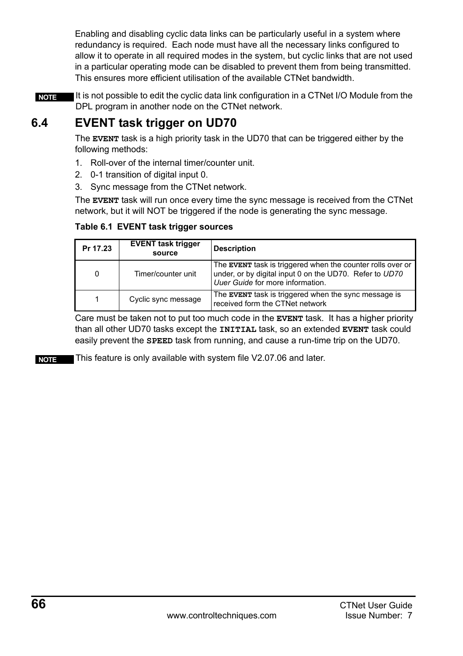Enabling and disabling cyclic data links can be particularly useful in a system where redundancy is required. Each node must have all the necessary links configured to allow it to operate in all required modes in the system, but cyclic links that are not used in a particular operating mode can be disabled to prevent them from being transmitted. This ensures more efficient utilisation of the available CTNet bandwidth.

It is not possible to edit the cyclic data link configuration in a CTNet I/O Module from the DPL program in another node on the CTNet network. **NOTE**

## <span id="page-65-0"></span>**6.4 EVENT task trigger on UD70**

The **EVENT** task is a high priority task in the UD70 that can be triggered either by the following methods:

- 1. Roll-over of the internal timer/counter unit.
- 2. 0-1 transition of digital input 0.
- 3. Sync message from the CTNet network.

The **EVENT** task will run once every time the sync message is received from the CTNet network, but it will NOT be triggered if the node is generating the sync message.

#### **Table 6.1 EVENT task trigger sources**

| Pr 17.23 | <b>EVENT task trigger</b><br>source | <b>Description</b>                                                                                                                                        |
|----------|-------------------------------------|-----------------------------------------------------------------------------------------------------------------------------------------------------------|
| $\Omega$ | Timer/counter unit                  | The EVENT task is triggered when the counter rolls over or<br>under, or by digital input 0 on the UD70. Refer to UD70<br>Uuer Guide for more information. |
|          | Cyclic sync message                 | The EVENT task is triggered when the sync message is<br>received form the CTNet network                                                                   |

Care must be taken not to put too much code in the **EVENT** task. It has a higher priority than all other UD70 tasks except the **INITIAL** task, so an extended **EVENT** task could easily prevent the **SPEED** task from running, and cause a run-time trip on the UD70.

**NOTE** This feature is only available with system file V2.07.06 and later.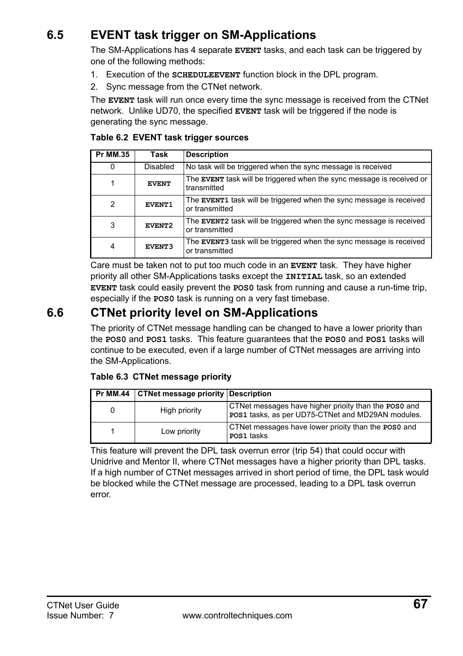## <span id="page-66-0"></span>**6.5 EVENT task trigger on SM-Applications**

The SM-Applications has 4 separate **EVENT** tasks, and each task can be triggered by one of the following methods:

- 1. Execution of the **SCHEDULEEVENT** function block in the DPL program.
- 2. Sync message from the CTNet network.

The **EVENT** task will run once every time the sync message is received from the CTNet network. Unlike UD70, the specified **EVENT** task will be triggered if the node is generating the sync message.

| <b>Pr MM.35</b> | Task         | <b>Description</b>                                                                          |
|-----------------|--------------|---------------------------------------------------------------------------------------------|
| 0               | Disabled     | No task will be triggered when the sync message is received                                 |
| 1               | <b>EVENT</b> | The <b>EVENT</b> task will be triggered when the sync message is received or<br>transmitted |
| 2               | EVENT1       | The EVENT1 task will be triggered when the sync message is received<br>or transmitted       |
| 3               | EVENT2       | The EVENT2 task will be triggered when the sync message is received<br>or transmitted       |
| 4               | EVENT3       | The EVENT3 task will be triggered when the sync message is received<br>or transmitted       |

#### **Table 6.2 EVENT task trigger sources**

Care must be taken not to put too much code in an **EVENT** task. They have higher priority all other SM-Applications tasks except the **INITIAL** task, so an extended **EVENT** task could easily prevent the **POS0** task from running and cause a run-time trip, especially if the **POS0** task is running on a very fast timebase.

## <span id="page-66-1"></span>**6.6 CTNet priority level on SM-Applications**

<span id="page-66-2"></span>The priority of CTNet message handling can be changed to have a lower priority than the **POS0** and **POS1** tasks. This feature guarantees that the **POS0** and **POS1** tasks will continue to be executed, even if a large number of CTNet messages are arriving into the SM-Applications.

#### **Table 6.3 CTNet message priority**

|   | Pr MM.44 CTNet message priority Description |                                                                                                           |
|---|---------------------------------------------|-----------------------------------------------------------------------------------------------------------|
| 0 | High priority                               | CTNet messages have higher prioity than the POS0 and<br>POS1 tasks, as per UD75-CTNet and MD29AN modules. |
|   | Low priority                                | CTNet messages have lower prioity than the POS0 and<br>POS1 tasks                                         |

This feature will prevent the DPL task overrun error (trip 54) that could occur with Unidrive and Mentor II, where CTNet messages have a higher priority than DPL tasks. If a high number of CTNet messages arrived in short period of time, the DPL task would be blocked while the CTNet message are processed, leading to a DPL task overrun error.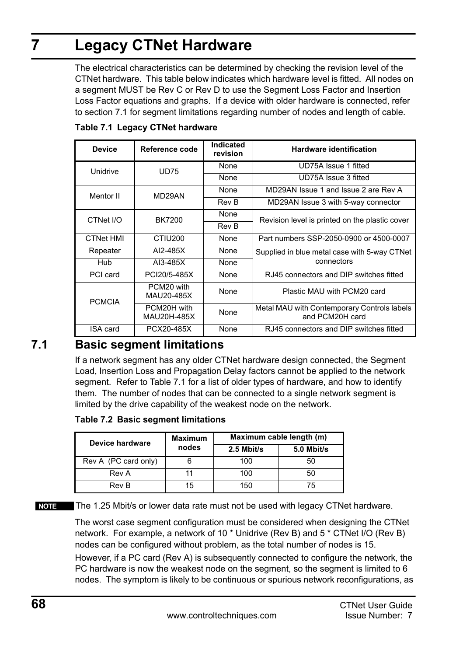# <span id="page-67-0"></span>**7 Legacy CTNet Hardware**

<span id="page-67-2"></span>The electrical characteristics can be determined by checking the revision level of the CTNet hardware. This table below indicates which hardware level is fitted. All nodes on a segment MUST be Rev C or Rev D to use the Segment Loss Factor and Insertion Loss Factor equations and graphs. If a device with older hardware is connected, refer to [section 7.1](#page-67-1) for segment limitations regarding number of nodes and length of cable.

| <b>Device</b>    | Reference code             | Indicated<br>revision | <b>Hardware identification</b>                                 |  |
|------------------|----------------------------|-----------------------|----------------------------------------------------------------|--|
| Unidrive         | <b>UD75</b>                | None                  | UD75A Issue 1 fitted                                           |  |
|                  |                            | None                  | UD75A Issue 3 fitted                                           |  |
| Mentor II        | MD29AN                     | None                  | MD29AN Issue 1 and Issue 2 are Rev A                           |  |
|                  |                            | Rev B                 | MD29AN Issue 3 with 5-way connector                            |  |
| CTNet I/O        | BK7200                     | None                  | Revision level is printed on the plastic cover                 |  |
|                  |                            | Rev B                 |                                                                |  |
| <b>CTNet HMI</b> | CTIU <sub>200</sub>        | None                  | Part numbers SSP-2050-0900 or 4500-0007                        |  |
| Repeater         | AI2-485X                   | None                  | Supplied in blue metal case with 5-way CTNet                   |  |
| Hub              | AI3-485X                   | None                  | connectors                                                     |  |
| PCI card         | PCI20/5-485X               | None                  | RJ45 connectors and DIP switches fitted                        |  |
| <b>PCMCIA</b>    | PCM20 with<br>MAU20-485X   | None                  | Plastic MAU with PCM20 card                                    |  |
|                  | PCM20H with<br>MAU20H-485X | None                  | Metal MAU with Contemporary Controls labels<br>and PCM20H card |  |
| <b>ISA</b> card  | PCX20-485X                 | None                  | RJ45 connectors and DIP switches fitted                        |  |

**Table 7.1 Legacy CTNet hardware**

## <span id="page-67-1"></span>**7.1 Basic segment limitations**

If a network segment has any older CTNet hardware design connected, the Segment Load, Insertion Loss and Propagation Delay factors cannot be applied to the network segment. Refer to Table 7.1 for a list of older types of hardware, and how to identify them. The number of nodes that can be connected to a single network segment is limited by the drive capability of the weakest node on the network.

**Table 7.2 Basic segment limitations**

| Device hardware      | <b>Maximum</b><br>nodes | Maximum cable length (m) |            |
|----------------------|-------------------------|--------------------------|------------|
|                      |                         | 2.5 Mbit/s               | 5.0 Mbit/s |
| Rev A (PC card only) |                         | 100                      | 50         |
| Rev A                |                         | 100                      | 50         |
| Rev B                | 15                      | 150                      | 75         |

**NOTE** The 1.25 Mbit/s or lower data rate must not be used with legacy CTNet hardware.

The worst case segment configuration must be considered when designing the CTNet network. For example, a network of 10 \* Unidrive (Rev B) and 5 \* CTNet I/O (Rev B) nodes can be configured without problem, as the total number of nodes is 15.

However, if a PC card (Rev A) is subsequently connected to configure the network, the PC hardware is now the weakest node on the segment, so the segment is limited to 6 nodes. The symptom is likely to be continuous or spurious network reconfigurations, as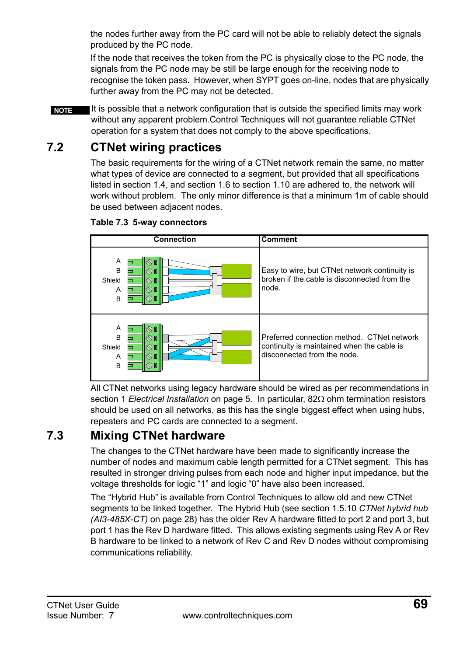the nodes further away from the PC card will not be able to reliably detect the signals produced by the PC node.

If the node that receives the token from the PC is physically close to the PC node, the signals from the PC node may be still be large enough for the receiving node to recognise the token pass. However, when SYPT goes on-line, nodes that are physically further away from the PC may not be detected.

It is possible that a network configuration that is outside the specified limits may work without any apparent problem.Control Techniques will not guarantee reliable CTNet operation for a system that does not comply to the above specifications. **NOTE**

## <span id="page-68-0"></span>**7.2 CTNet wiring practices**

The basic requirements for the wiring of a CTNet network remain the same, no matter what types of device are connected to a segment, but provided that all specifications listed in [section 1.4](#page-13-1), and [section 1.6](#page-29-3) to [section 1.10](#page-34-3) are adhered to, the network will work without problem. The only minor difference is that a minimum 1m of cable should be used between adjacent nodes.



**Table 7.3 5-way connectors**

All CTNet networks using legacy hardware should be wired as per recommendations in section 1 *[Electrical Installation](#page-4-2)* on page 5. In particular, 82Ω ohm termination resistors should be used on all networks, as this has the single biggest effect when using hubs, repeaters and PC cards are connected to a segment.

## <span id="page-68-1"></span>**7.3 Mixing CTNet hardware**

The changes to the CTNet hardware have been made to significantly increase the number of nodes and maximum cable length permitted for a CTNet segment. This has resulted in stronger driving pulses from each node and higher input impedance, but the voltage thresholds for logic "1" and logic "0" have also been increased.

The "Hybrid Hub" is available from Control Techniques to allow old and new CTNet segments to be linked together. The Hybrid Hub (see section 1.5.10 *[CTNet hybrid hub](#page-27-1)  [\(AI3-485X-CT\)](#page-27-1)* on page 28) has the older Rev A hardware fitted to port 2 and port 3, but port 1 has the Rev D hardware fitted. This allows existing segments using Rev A or Rev B hardware to be linked to a network of Rev C and Rev D nodes without compromising communications reliability.